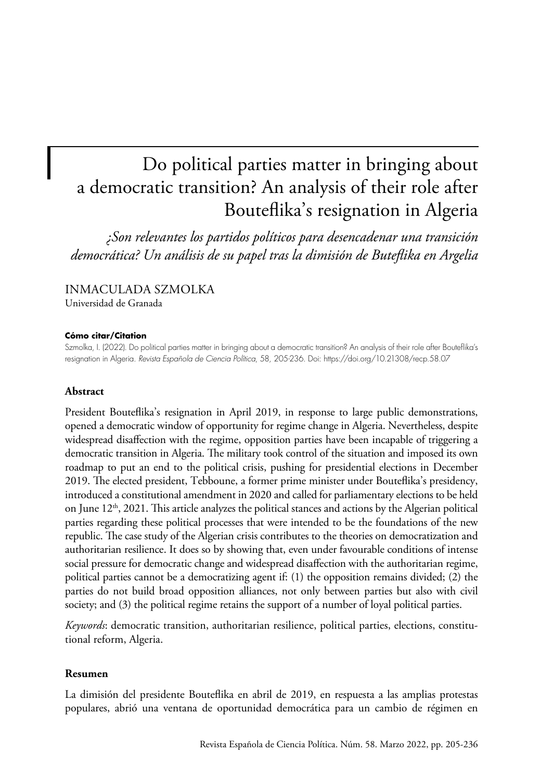# Do political parties matter in bringing about a democratic transition? An analysis of their role after Bouteflika's resignation in Algeria

*¿Son relevantes los partidos políticos para desencadenar una transición democrática? Un análisis de su papel tras la dimisión de Buteflika en Argelia*

# INMACULADA SZMOLKA

Universidad de Granada

## **Cómo citar/Citation**

Szmolka, I. (2022). Do political parties matter in bringing about a democratic transition? An analysis of their role after Bouteflika's resignation in Algeria. *Revista Española de Ciencia Política*, 58, 205-236. Doi:<https://doi.org/10.21308/recp.58.07>

## **Abstract**

President Bouteflika's resignation in April 2019, in response to large public demonstrations, opened a democratic window of opportunity for regime change in Algeria. Nevertheless, despite widespread disaffection with the regime, opposition parties have been incapable of triggering a democratic transition in Algeria. The military took control of the situation and imposed its own roadmap to put an end to the political crisis, pushing for presidential elections in December 2019. The elected president, Tebboune, a former prime minister under Bouteflika's presidency, introduced a constitutional amendment in 2020 and called for parliamentary elections to be held on June  $12<sup>th</sup>$ , 2021. This article analyzes the political stances and actions by the Algerian political parties regarding these political processes that were intended to be the foundations of the new republic. The case study of the Algerian crisis contributes to the theories on democratization and authoritarian resilience. It does so by showing that, even under favourable conditions of intense social pressure for democratic change and widespread disaffection with the authoritarian regime, political parties cannot be a democratizing agent if: (1) the opposition remains divided; (2) the parties do not build broad opposition alliances, not only between parties but also with civil society; and (3) the political regime retains the support of a number of loyal political parties.

*Keywords*: democratic transition, authoritarian resilience, political parties, elections, constitutional reform, Algeria.

## **Resumen**

La dimisión del presidente Bouteflika en abril de 2019, en respuesta a las amplias protestas populares, abrió una ventana de oportunidad democrática para un cambio de régimen en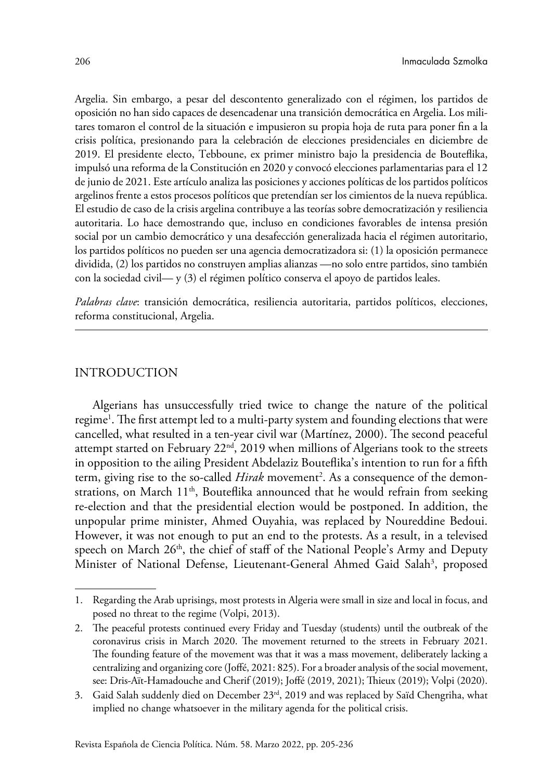Argelia. Sin embargo, a pesar del descontento generalizado con el régimen, los partidos de oposición no han sido capaces de desencadenar una transición democrática en Argelia. Los militares tomaron el control de la situación e impusieron su propia hoja de ruta para poner fin a la crisis política, presionando para la celebración de elecciones presidenciales en diciembre de 2019. El presidente electo, Tebboune, ex primer ministro bajo la presidencia de Bouteflika, impulsó una reforma de la Constitución en 2020 y convocó elecciones parlamentarias para el 12 de junio de 2021. Este artículo analiza las posiciones y acciones políticas de los partidos políticos argelinos frente a estos procesos políticos que pretendían ser los cimientos de la nueva república. El estudio de caso de la crisis argelina contribuye a las teorías sobre democratización y resiliencia autoritaria. Lo hace demostrando que, incluso en condiciones favorables de intensa presión social por un cambio democrático y una desafección generalizada hacia el régimen autoritario, los partidos políticos no pueden ser una agencia democratizadora si: (1) la oposición permanece dividida, (2) los partidos no construyen amplias alianzas —no solo entre partidos, sino también con la sociedad civil— y (3) el régimen político conserva el apoyo de partidos leales.

*Palabras clave*: transición democrática, resiliencia autoritaria, partidos políticos, elecciones, reforma constitucional, Argelia.

## INTRODUCTION

Algerians has unsuccessfully tried twice to change the nature of the political regime<sup>1</sup>. The first attempt led to a multi-party system and founding elections that were cancelled, what resulted in a ten-year civil war (Martínez, 2000). The second peaceful attempt started on February  $22<sup>nd</sup>$ , 2019 when millions of Algerians took to the streets in opposition to the ailing President Abdelaziz Bouteflika's intention to run for a fifth term, giving rise to the so-called *Hirak* movement<sup>2</sup>. As a consequence of the demonstrations, on March  $11<sup>th</sup>$ , Bouteflika announced that he would refrain from seeking re-election and that the presidential election would be postponed. In addition, the unpopular prime minister, Ahmed Ouyahia, was replaced by Noureddine Bedoui. However, it was not enough to put an end to the protests. As a result, in a televised speech on March 26<sup>th</sup>, the chief of staff of the National People's Army and Deputy Minister of National Defense, Lieutenant-General Ahmed Gaid Salah<sup>3</sup>, proposed

<sup>1.</sup> Regarding the Arab uprisings, most protests in Algeria were small in size and local in focus, and posed no threat to the regime (Volpi, 2013).

<sup>2.</sup> The peaceful protests continued every Friday and Tuesday (students) until the outbreak of the coronavirus crisis in March 2020. The movement returned to the streets in February 2021. The founding feature of the movement was that it was a mass movement, deliberately lacking a centralizing and organizing core (Joffé, 2021: 825). For a broader analysis of the social movement, see: Dris-Aït-Hamadouche and Cherif (2019); Joffé (2019, 2021); Thieux (2019); Volpi (2020).

<sup>3.</sup> Gaid Salah suddenly died on December  $23<sup>rd</sup>$ , 2019 and was replaced by Saïd Chengriha, what implied no change whatsoever in the military agenda for the political crisis.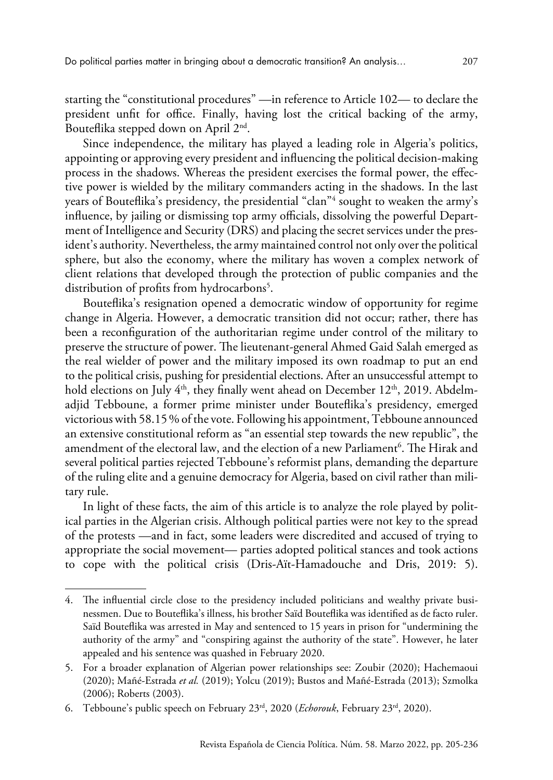starting the "constitutional procedures" —in reference to Article 102— to declare the president unfit for office. Finally, having lost the critical backing of the army, Bouteflika stepped down on April 2nd.

Since independence, the military has played a leading role in Algeria's politics, appointing or approving every president and influencing the political decision-making process in the shadows. Whereas the president exercises the formal power, the effective power is wielded by the military commanders acting in the shadows. In the last years of Bouteflika's presidency, the presidential "clan"4 sought to weaken the army's influence, by jailing or dismissing top army officials, dissolving the powerful Department of Intelligence and Security (DRS) and placing the secret services under the president's authority. Nevertheless, the army maintained control not only over the political sphere, but also the economy, where the military has woven a complex network of client relations that developed through the protection of public companies and the distribution of profits from hydrocarbons<sup>5</sup>.

Bouteflika's resignation opened a democratic window of opportunity for regime change in Algeria. However, a democratic transition did not occur; rather, there has been a reconfiguration of the authoritarian regime under control of the military to preserve the structure of power. The lieutenant-general Ahmed Gaid Salah emerged as the real wielder of power and the military imposed its own roadmap to put an end to the political crisis, pushing for presidential elections. After an unsuccessful attempt to hold elections on July  $4<sup>th</sup>$ , they finally went ahead on December 12<sup>th</sup>, 2019. Abdelmadjid Tebboune, a former prime minister under Bouteflika's presidency, emerged victorious with 58.15% of the vote. Following his appointment, Tebboune announced an extensive constitutional reform as "an essential step towards the new republic", the amendment of the electoral law, and the election of a new Parliament<sup>6</sup>. The Hirak and several political parties rejected Tebboune's reformist plans, demanding the departure of the ruling elite and a genuine democracy for Algeria, based on civil rather than military rule.

In light of these facts, the aim of this article is to analyze the role played by political parties in the Algerian crisis. Although political parties were not key to the spread of the protests —and in fact, some leaders were discredited and accused of trying to appropriate the social movement— parties adopted political stances and took actions to cope with the political crisis (Dris-Aït-Hamadouche and Dris, 2019: 5).

<sup>4.</sup> The influential circle close to the presidency included politicians and wealthy private businessmen. Due to Bouteflika's illness, his brother Saïd Bouteflika was identified as de facto ruler. Saïd Bouteflika was arrested in May and sentenced to 15 years in prison for "undermining the authority of the army" and "conspiring against the authority of the state". However, he later appealed and his sentence was quashed in February 2020.

<sup>5.</sup> For a broader explanation of Algerian power relationships see: Zoubir (2020); Hachemaoui (2020); Mañé-Estrada *et al.* (2019); Yolcu (2019); Bustos and Mañé-Estrada (2013); Szmolka (2006); Roberts (2003).

<sup>6.</sup> Tebboune's public speech on February 23rd, 2020 (*Echorouk*[, February 23rd, 2020\)](https://www.echoroukonline.com/abdelmadjid-tebboune-this-is-our-goal-methodology-for-amending-the-constitution/).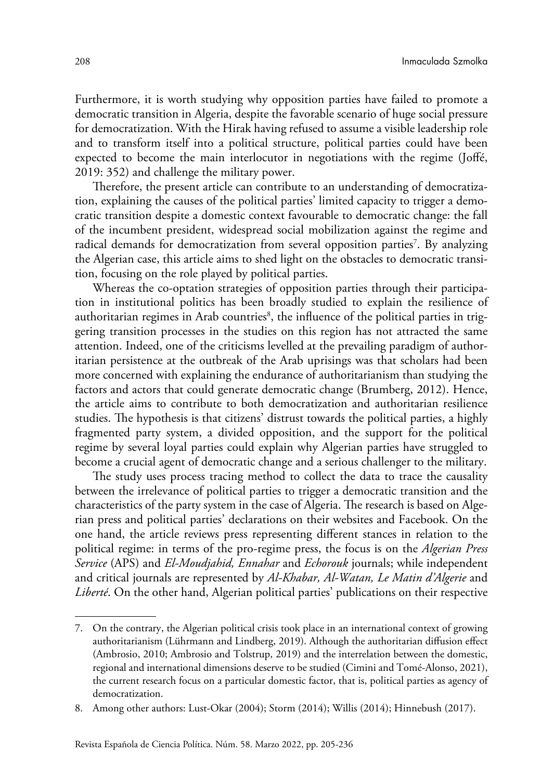Furthermore, it is worth studying why opposition parties have failed to promote a democratic transition in Algeria, despite the favorable scenario of huge social pressure for democratization. With the Hirak having refused to assume a visible leadership role and to transform itself into a political structure, political parties could have been expected to become the main interlocutor in negotiations with the regime (Joffé, 2019: 352) and challenge the military power.

Therefore, the present article can contribute to an understanding of democratization, explaining the causes of the political parties' limited capacity to trigger a democratic transition despite a domestic context favourable to democratic change: the fall of the incumbent president, widespread social mobilization against the regime and radical demands for democratization from several opposition parties<sup>7</sup>. By analyzing the Algerian case, this article aims to shed light on the obstacles to democratic transition, focusing on the role played by political parties.

Whereas the co-optation strategies of opposition parties through their participation in institutional politics has been broadly studied to explain the resilience of authoritarian regimes in Arab countries $^{\rm 8}$ , the influence of the political parties in triggering transition processes in the studies on this region has not attracted the same attention. Indeed, one of the criticisms levelled at the prevailing paradigm of authoritarian persistence at the outbreak of the Arab uprisings was that scholars had been more concerned with explaining the endurance of authoritarianism than studying the factors and actors that could generate democratic change (Brumberg, 2012). Hence, the article aims to contribute to both democratization and authoritarian resilience studies. The hypothesis is that citizens' distrust towards the political parties, a highly fragmented party system, a divided opposition, and the support for the political regime by several loyal parties could explain why Algerian parties have struggled to become a crucial agent of democratic change and a serious challenger to the military.

The study uses process tracing method to collect the data to trace the causality between the irrelevance of political parties to trigger a democratic transition and the characteristics of the party system in the case of Algeria. The research is based on Algerian press and political parties' declarations on their websites and Facebook. On the one hand, the article reviews press representing different stances in relation to the political regime: in terms of the pro-regime press, the focus is on the *Algerian Press Service* (APS) and *El-Moudjahid, Ennahar* and *Echorouk* journals; while independent and critical journals are represented by *Al-Khabar, Al-Watan, Le Matin d'Algerie* and *Liberté*. On the other hand, Algerian political parties' publications on their respective

<sup>7.</sup> On the contrary, the Algerian political crisis took place in an international context of growing authoritarianism (Lührmann and Lindberg, 2019). Although the authoritarian diffusion effect (Ambrosio, 2010; Ambrosio and Tolstrup, 2019) and the interrelation between the domestic, regional and international dimensions deserve to be studied (Cimini and Tomé-Alonso, 2021), the current research focus on a particular domestic factor, that is, political parties as agency of democratization.

<sup>8.</sup> Among other authors: Lust-Okar (2004); Storm (2014); Willis (2014); Hinnebush (2017).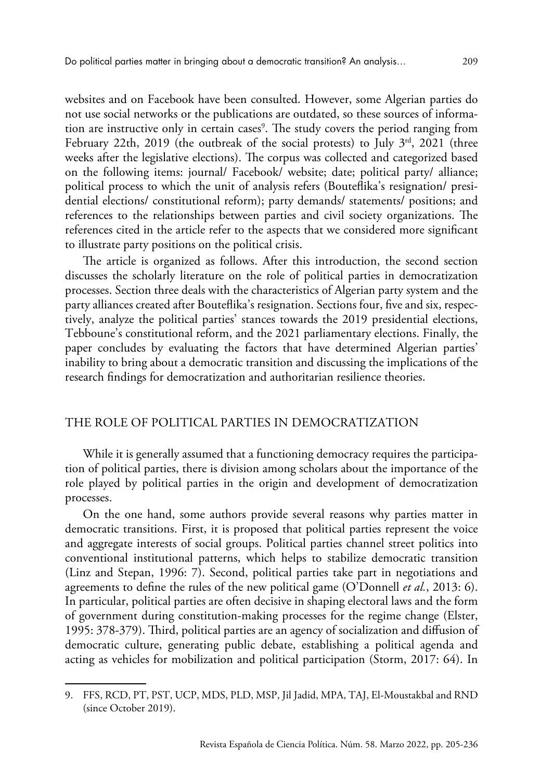websites and on Facebook have been consulted. However, some Algerian parties do not use social networks or the publications are outdated, so these sources of information are instructive only in certain cases<sup>9</sup>. The study covers the period ranging from February 22th, 2019 (the outbreak of the social protests) to July  $3^{rd}$ , 2021 (three weeks after the legislative elections). The corpus was collected and categorized based on the following items: journal/ Facebook/ website; date; political party/ alliance; political process to which the unit of analysis refers (Bouteflika's resignation/ presidential elections/ constitutional reform); party demands/ statements/ positions; and references to the relationships between parties and civil society organizations. The references cited in the article refer to the aspects that we considered more significant to illustrate party positions on the political crisis.

The article is organized as follows. After this introduction, the second section discusses the scholarly literature on the role of political parties in democratization processes. Section three deals with the characteristics of Algerian party system and the party alliances created after Bouteflika's resignation. Sections four, five and six, respectively, analyze the political parties' stances towards the 2019 presidential elections, Tebboune's constitutional reform, and the 2021 parliamentary elections. Finally, the paper concludes by evaluating the factors that have determined Algerian parties' inability to bring about a democratic transition and discussing the implications of the research findings for democratization and authoritarian resilience theories.

## THE ROLE OF POLITICAL PARTIES IN DEMOCRATIZATION

While it is generally assumed that a functioning democracy requires the participation of political parties, there is division among scholars about the importance of the role played by political parties in the origin and development of democratization processes.

On the one hand, some authors provide several reasons why parties matter in democratic transitions. First, it is proposed that political parties represent the voice and aggregate interests of social groups. Political parties channel street politics into conventional institutional patterns, which helps to stabilize democratic transition (Linz and Stepan, 1996: 7). Second, political parties take part in negotiations and agreements to define the rules of the new political game (O'Donnell *et al.*, 2013: 6). In particular, political parties are often decisive in shaping electoral laws and the form of government during constitution-making processes for the regime change (Elster, 1995: 378-379). Third, political parties are an agency of socialization and diffusion of democratic culture, generating public debate, establishing a political agenda and acting as vehicles for mobilization and political participation (Storm, 2017: 64). In

<sup>9.</sup> FFS, RCD, PT, PST, UCP, MDS, PLD, MSP, Jil Jadid, MPA, TAJ, El-Moustakbal and RND (since October 2019).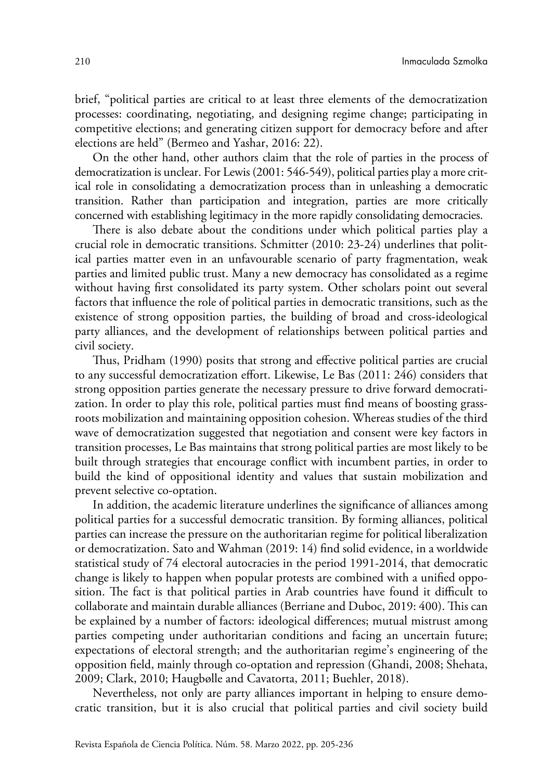brief, "political parties are critical to at least three elements of the democratization processes: coordinating, negotiating, and designing regime change; participating in competitive elections; and generating citizen support for democracy before and after elections are held" (Bermeo and Yashar, 2016: 22).

On the other hand, other authors claim that the role of parties in the process of democratization is unclear. For Lewis (2001: 546-549), political parties play a more critical role in consolidating a democratization process than in unleashing a democratic transition. Rather than participation and integration, parties are more critically concerned with establishing legitimacy in the more rapidly consolidating democracies.

There is also debate about the conditions under which political parties play a crucial role in democratic transitions. Schmitter (2010: 23-24) underlines that political parties matter even in an unfavourable scenario of party fragmentation, weak parties and limited public trust. Many a new democracy has consolidated as a regime without having first consolidated its party system. Other scholars point out several factors that influence the role of political parties in democratic transitions, such as the existence of strong opposition parties, the building of broad and cross-ideological party alliances, and the development of relationships between political parties and civil society.

Thus, Pridham (1990) posits that strong and effective political parties [are crucial](https://www.tandfonline.com/doi/abs/10.1080/01402389008424822) to any successful democratization effort. Likewise, Le Bas (2011: 246) considers that strong opposition parties generate the necessary pressure to drive forward democratization. In order to play this role, political parties must find means of boosting grassroots mobilization and maintaining opposition cohesion. Whereas studies of the third wave of democratization suggested that negotiation and consent were key factors in transition processes, Le Bas maintains that strong political parties are most likely to be built through strategies that encourage conflict with incumbent parties, in order to build the kind of oppositional identity and values that sustain mobilization and prevent selective co-optation.

In addition, the academic literature underlines the significance of alliances among political parties for a successful democratic transition. By forming alliances, political parties can increase the pressure on the authoritarian regime for political liberalization or democratization. Sato and Wahman (2019: 14) find solid evidence, in a worldwide statistical study of 74 electoral autocracies in the period 1991-2014, that democratic change is likely to happen when popular protests are combined with a unified opposition. The fact is that political parties in Arab countries have found it difficult to collaborate and maintain durable alliances (Berriane and Duboc, 2019: 400). This can be explained by a number of factors: ideological differences; mutual mistrust among parties competing under authoritarian conditions and facing an uncertain future; expectations of electoral strength; and the authoritarian regime's engineering of the opposition field, mainly through co-optation and repression (Ghandi, 2008; Shehata, 2009; Clark, 2010; Haugbølle and Cavatorta, 2011; Buehler, 2018).

Nevertheless, not only are party alliances important in helping to ensure democratic transition, but it is also crucial that political parties and civil society build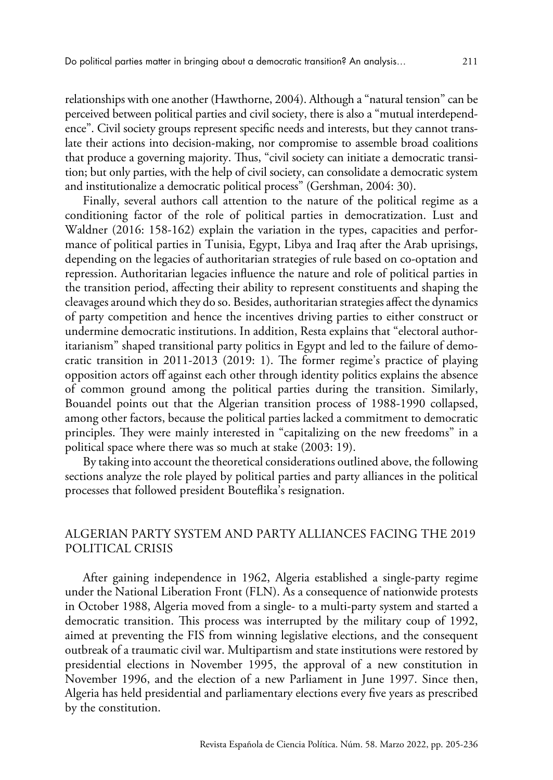relationships with one another (Hawthorne, 2004). Although a "natural tension" can be perceived between political parties and civil society, there is also a "mutual interdependence". Civil society groups represent specific needs and interests, but they cannot translate their actions into decision-making, nor compromise to assemble broad coalitions that produce a governing majority. Thus, "civil society can initiate a democratic transition; but only parties, with the help of civil society, can consolidate a democratic system and institutionalize a democratic political process" (Gershman, 2004: 30).

Finally, several authors call attention to the nature of the political regime as a conditioning factor of the role of political parties in democratization. Lust and Waldner (2016: 158-162) explain the variation in the types, capacities and performance of political parties in Tunisia, Egypt, Libya and Iraq after the Arab uprisings, depending on the legacies of authoritarian strategies of rule based on co-optation and repression. Authoritarian legacies influence the nature and role of political parties in the transition period, affecting their ability to represent constituents and shaping the cleavages around which they do so. Besides, authoritarian strategies affect the dynamics of party competition and hence the incentives driving parties to either construct or undermine democratic institutions. In addition, Resta explains that "electoral authoritarianism" shaped transitional party politics in Egypt and led to the failure of democratic transition in 2011-2013 (2019: 1). The former regime's practice of playing opposition actors off against each other through identity politics explains the absence of common ground among the political parties during the transition. Similarly, Bouandel points out that the Algerian transition process of 1988-1990 collapsed, among other factors, because the political parties lacked a commitment to democratic principles. They were mainly interested in "capitalizing on the new freedoms" in a political space where there was so much at stake (2003: 19).

By taking into account the theoretical considerations outlined above, the following sections analyze the role played by political parties and party alliances in the political processes that followed president Bouteflika's resignation.

# ALGERIAN PARTY SYSTEM AND PARTY ALLIANCES FACING THE 2019 POLITICAL CRISIS

After gaining independence in 1962, Algeria established a single-party regime under the National Liberation Front (FLN). As a consequence of nationwide protests in October 1988, Algeria moved from a single- to a multi-party system and started a democratic transition. This process was interrupted by the military coup of 1992, aimed at preventing the FIS from winning legislative elections, and the consequent outbreak of a traumatic civil war. Multipartism and state institutions were restored by presidential elections in November 1995, the approval of a new constitution in November 1996, and the election of a new Parliament in June 1997. Since then, Algeria has held presidential and parliamentary elections every five years as prescribed by the constitution.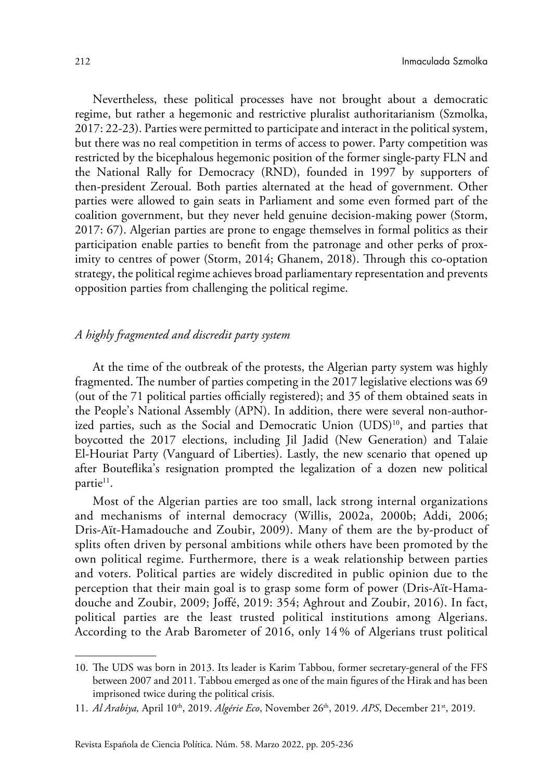Nevertheless, these political processes have not brought about a democratic regime, but rather a hegemonic and restrictive pluralist authoritarianism (Szmolka, 2017: 22-23). Parties were permitted to participate and interact in the political system, but there was no real competition in terms of access to power. Party competition was restricted by the bicephalous hegemonic position of the former single-party FLN and the National Rally for Democracy (RND), founded in 1997 by supporters of then-president Zeroual. Both parties alternated at the head of government. Other parties were allowed to gain seats in Parliament and some even formed part of the coalition government, but they never held genuine decision-making power (Storm, 2017: 67). Algerian parties are prone to engage themselves in formal politics as their participation enable parties to benefit from the patronage and other perks of proximity to centres of power (Storm, 2014; Ghanem, 2018). Through this co-optation strategy, the political regime achieves broad parliamentary representation and prevents opposition parties from challenging the political regime.

## *A highly fragmented and discredit party system*

At the time of the outbreak of the protests, the Algerian party system was highly fragmented. The number of parties competing in the 2017 legislative elections was 69 (out of the 71 political parties officially registered); and 35 of them obtained seats in the People's National Assembly (APN). In addition, there were several non-authorized parties, such as the Social and Democratic Union (UDS)<sup>10</sup>, and parties that boycotted the 2017 elections, including Jil Jadid (New Generation) and Talaie El-Houriat Party (Vanguard of Liberties). Lastly, the new scenario that opened up after Bouteflika's resignation prompted the legalization of a dozen new political partie<sup>11</sup>.

Most of the Algerian parties are too small, lack strong internal organizations and mechanisms of internal democracy (Willis, 2002a, 2000b; Addi, 2006; Dris-Aït-Hamadouche and Zoubir, 2009). Many of them are the by-product of splits often driven by personal ambitions while others have been promoted by the own political regime. Furthermore, there is a weak relationship between parties and voters. Political parties are widely discredited in public opinion due to the perception that their main goal is to grasp some form of power (Dris-Aït-Hamadouche and Zoubir, 2009; Joffé, 2019: 354; Aghrout and Zoubir, 2016). In fact, political parties are the least trusted political institutions among Algerians. According to the Arab Barometer of 2016, only 14 % of Algerians trust political

<sup>10.</sup> The UDS was born in 2013. Its leader is Karim Tabbou, former secretary-general of the FFS between 2007 and 2011. Tabbou emerged as one of the main figures of the Hirak and has been imprisoned twice during the political crisis.

<sup>11.</sup> *Al Arabiya,* [April 10th, 2019.](https://english.alarabiya.net/en/News/north-africa/2019/04/10/Algeria-sets-presidential-election-for-July-4.html) *Algérie Eco*[, November 26th, 2019](https://www.algerie-eco.com/2019/11/26/parti-voix-peuple-agree/). *APS*[, December 21st, 2019](http://www.aps.dz/algerie/99225-fouad-benghnissa-plebiscite-president-du-parti-tayar-essalem).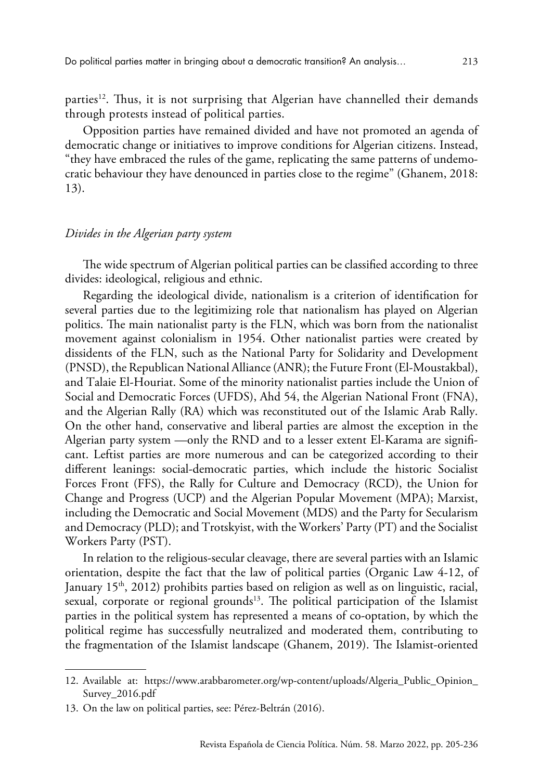parties12. Thus, it is not surprising that Algerian have channelled their demands through protests instead of political parties.

Opposition parties have remained divided and have not promoted an agenda of democratic change or initiatives to improve conditions for Algerian citizens. Instead, "they have embraced the rules of the game, replicating the same patterns of undemocratic behaviour they have denounced in parties close to the regime" (Ghanem, 2018: 13).

#### *Divides in the Algerian party system*

The wide spectrum of Algerian political parties can be classified according to three divides: ideological, religious and ethnic.

Regarding the ideological divide, nationalism is a criterion of identification for several parties due to the legitimizing role that nationalism has played on Algerian politics. The main nationalist party is the FLN, which was born from the nationalist movement against colonialism in 1954. Other nationalist parties were created by dissidents of the FLN, such as the National Party for Solidarity and Development (PNSD), the Republican National Alliance (ANR); the Future Front (El-Moustakbal), and Talaie El-Houriat. Some of the minority nationalist parties include the Union of Social and Democratic Forces (UFDS), Ahd 54, the Algerian National Front (FNA), and the Algerian Rally (RA) which was reconstituted out of the Islamic Arab Rally. On the other hand, conservative and liberal parties are almost the exception in the Algerian party system —only the RND and to a lesser extent El-Karama are significant. Leftist parties are more numerous and can be categorized according to their different leanings: social-democratic parties, which include the historic Socialist Forces Front (FFS), the Rally for Culture and Democracy (RCD), the Union for Change and Progress (UCP) and the Algerian Popular Movement (MPA); Marxist, including the Democratic and Social Movement (MDS) and the Party for Secularism and Democracy (PLD); and Trotskyist, with the Workers' Party (PT) and the Socialist Workers Party (PST).

In relation to the religious-secular cleavage, there are several parties with an Islamic orientation, despite the fact that the law of political parties (Organic Law 4-12, of January  $15<sup>th</sup>$ , 2012) prohibits parties based on religion as well as on linguistic, racial, sexual, corporate or regional grounds<sup>13</sup>. The political participation of the Islamist parties in the political system has represented a means of co-optation, by which the political regime has successfully neutralized and moderated them, contributing to the fragmentation of the Islamist landscape (Ghanem, 2019). The Islamist-oriented

<sup>12.</sup> Available at: [https://www.arabbarometer.org/wp-content/uploads/Algeria\\_Public\\_Opinion\\_](https://www.arabbarometer.org/wp-content/uploads/Algeria_Public_Opinion_Survey_2016.pdf) [Survey\\_2016.pdf](https://www.arabbarometer.org/wp-content/uploads/Algeria_Public_Opinion_Survey_2016.pdf)

<sup>13.</sup> On the law on political parties, see: Pérez-Beltrán (2016).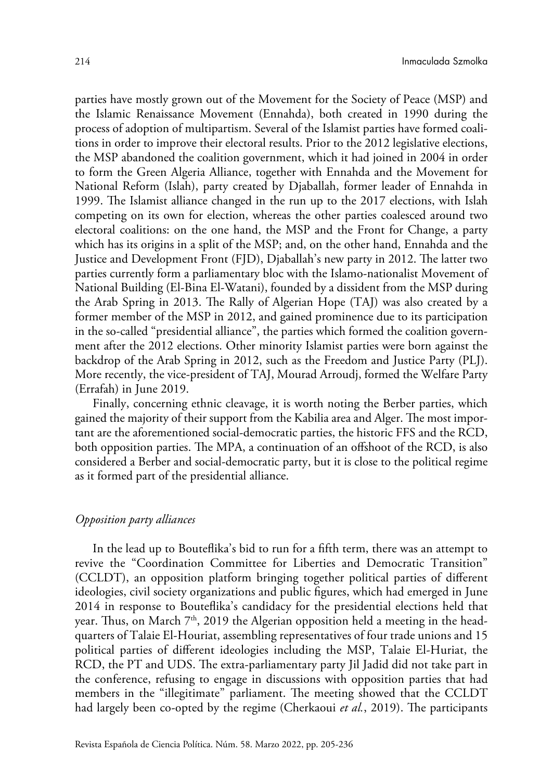parties have mostly grown out of the Movement for the Society of Peace (MSP) and the Islamic Renaissance Movement (Ennahda), both created in 1990 during the process of adoption of multipartism. Several of the Islamist parties have formed coalitions in order to improve their electoral results. Prior to the 2012 legislative elections, the MSP abandoned the coalition government, which it had joined in 2004 in order to form the Green Algeria Alliance, together with Ennahda and the Movement for National Reform (Islah), party created by Djaballah, former leader of Ennahda in 1999. The Islamist alliance changed in the run up to the 2017 elections, with Islah competing on its own for election, whereas the other parties coalesced around two electoral coalitions: on the one hand, the MSP and the Front for Change, a party which has its origins in a split of the MSP; and, on the other hand, Ennahda and the Justice and Development Front (FJD), Djaballah's new party in 2012. The latter two parties currently form a parliamentary bloc with the Islamo-nationalist Movement of National Building (El-Bina El-Watani), founded by a dissident from the MSP during the Arab Spring in 2013. The Rally of Algerian Hope (TAJ) was also created by a former member of the MSP in 2012, and gained prominence due to its participation in the so-called "presidential alliance", the parties which formed the coalition government after the 2012 elections. Other minority Islamist parties were born against the backdrop of the Arab Spring in 2012, such as the Freedom and Justice Party (PLJ). More recently, the vice-president of TAJ, Mourad Arroudj, formed the Welfare Party (Errafah) in June 2019.

Finally, concerning ethnic cleavage, it is worth noting the Berber parties, which gained the majority of their support from the Kabilia area and Alger. The most important are the aforementioned social-democratic parties, the historic FFS and the RCD, both opposition parties. The MPA, a continuation of an offshoot of the RCD, is also considered a Berber and social-democratic party, but it is close to the political regime as it formed part of the presidential alliance.

#### *Opposition party alliances*

In the lead up to Bouteflika's bid to run for a fifth term, there was an attempt to revive the "Coordination Committee for Liberties and Democratic Transition" (CCLDT), an opposition platform bringing together political parties of different ideologies, civil society organizations and public figures, which had emerged in June 2014 in response to Bouteflika's candidacy for the presidential elections held that year. Thus, on March  $7<sup>th</sup>$ , 2019 the Algerian opposition held a meeting in the headquarters of Talaie El-Houriat, assembling representatives of four trade unions and 15 political parties of different ideologies including the MSP, Talaie El-Huriat, the RCD, the PT and UDS. The extra-parliamentary party Jil Jadid did not take part in the conference, refusing to engage in discussions with opposition parties that had members in the "illegitimate" parliament. The meeting showed that the CCLDT had largely been co-opted by the regime (Cherkaoui *et al.*, 2019). The participants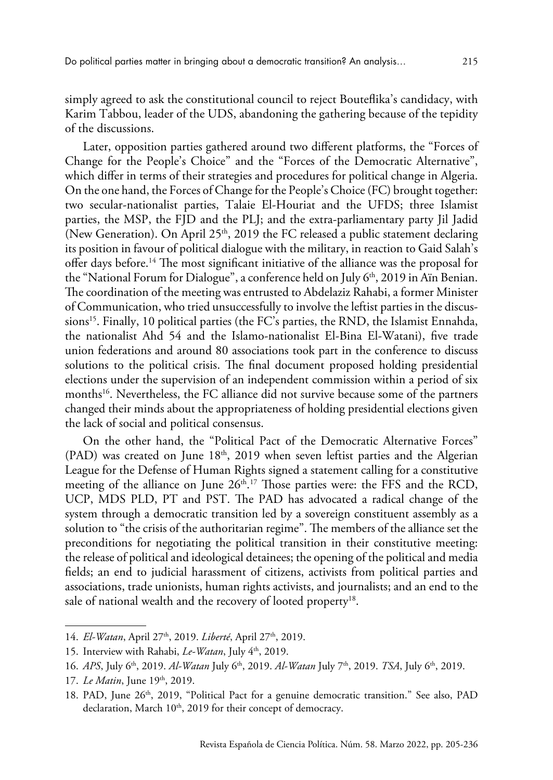simply agreed to ask the constitutional council to reject Bouteflika's candidacy, with Karim Tabbou, leader of the UDS, abandoning the gathering because of the tepidity of the discussions.

Later, opposition parties gathered around two different platforms, the "Forces of Change for the People's Choice" and the "Forces of the Democratic Alternative", which differ in terms of their strategies and procedures for political change in Algeria. On the one hand, the Forces of Change for the People's Choice (FC) brought together: two secular-nationalist parties, Talaie El-Houriat and the UFDS; three Islamist parties, the MSP, the FJD and the PLJ; and the extra-parliamentary party Jil Jadid (New Generation). On April  $25<sup>th</sup>$ , 2019 the FC released a public statement declaring its position in favour of political dialogue with the military, in reaction to Gaid Salah's offer days before.14 The most significant initiative of the alliance was the proposal for the "National Forum for Dialogue", a conference held on July 6<sup>th</sup>, 2019 in Aïn Benian. The coordination of the meeting was entrusted to Abdelaziz Rahabi, a former Minister of Communication, who tried unsuccessfully to involve the leftist parties in the discussions<sup>15</sup>. Finally, 10 political parties (the FC's parties, the RND, the Islamist Ennahda, the nationalist Ahd 54 and the Islamo-nationalist El-Bina El-Watani), five trade union federations and around 80 associations took part in the conference to discuss solutions to the political crisis. The final document proposed holding presidential elections under the supervision of an independent commission within a period of six months<sup>16</sup>. Nevertheless, the FC alliance did not survive because some of the partners changed their minds about the appropriateness of holding presidential elections given the lack of social and political consensus.

On the other hand, the "Political Pact of the Democratic Alternative Forces" (PAD) was created on June  $18<sup>th</sup>$ , 2019 when seven leftist parties and the Algerian League for the Defense of Human Rights signed a statement calling for a constitutive meeting of the alliance on June  $26<sup>th,17</sup>$  Those parties were: the FFS and the RCD, UCP, MDS PLD, PT and PST. The PAD has advocated a radical change of the system through a democratic transition led by a sovereign constituent assembly as a solution to "the crisis of the authoritarian regime". The members of the alliance set the preconditions for negotiating the political transition in their constitutive meeting: the release of political and ideological detainees; the opening of the political and media fields; an end to judicial harassment of citizens, activists from political parties and associations, trade unionists, human rights activists, and journalists; and an end to the sale of national wealth and the recovery of looted property<sup>18</sup>.

<sup>14.</sup> *El-Watan*[, April 27th, 2019.](https://www.elwatan.com/edition/actualite/9e-reunion-des-forces-du-changement-organiser-une-rencontre-nationale-de-sortie-de-crise-27-04-2019) *Liberté*[, April 27th, 2019.](https://www.liberte-algerie.com/actualite/les-forces-du-changement-favorables-aux-negociations-314678)

<sup>15.</sup> Interview with Rahabi, *Le-Watan*[, July 4th, 2019](https://www.elwatan.com/edition/actualite/abdelaziz-rahabi-coordinateur-de-linstance-de-gestion-du-forum-du-dialogue-national-la-persistance-de-la-crise-risque-de-rendre-la-solution-politique-difficile-04-07-2019).

<sup>16.</sup> *APS*[, July 6th, 2019](http://www.aps.dz/algerie/91516-forum-du-dialogue-consecration-de-la-volonte-populaire-par-une-election-presidentielle-libre-et-reguliere). *Al-Watan* [July 6th, 2019.](https://www.elwatan.com/edition/actualite/la-conference-nationale-de-dialogue-souvrira-aujourdhui-lalternative-democratique-boycotte-06-07-2019) *Al-Watan* [July 7th, 2019](https://www.elwatan.com/a-la-une/la-presidentielle-comme-moyen-de-sortie-de-crise-les-partisans-du-dialogue-posent-leurs-conditions-07-07-2019). *TSA*[, July 6th, 2019](https://www.tsa-algerie.com/direct-dialogue-la-conferece-des-forces-du-changement/).

<sup>17.</sup> *Le Matin*, June 19<sup>th</sup>, 2019.

<sup>18.</sup> [PAD, June 26th, 2019, "Political Pact for a genuine democratic transition."](https://www.facebook.com/PactePolitique/posts/103608214328947) See also, [PAD](https://www.facebook.com/PactePolitique/posts/212843726738728)  declaration, March 10<sup>th</sup>, 2019 for their concept of democracy.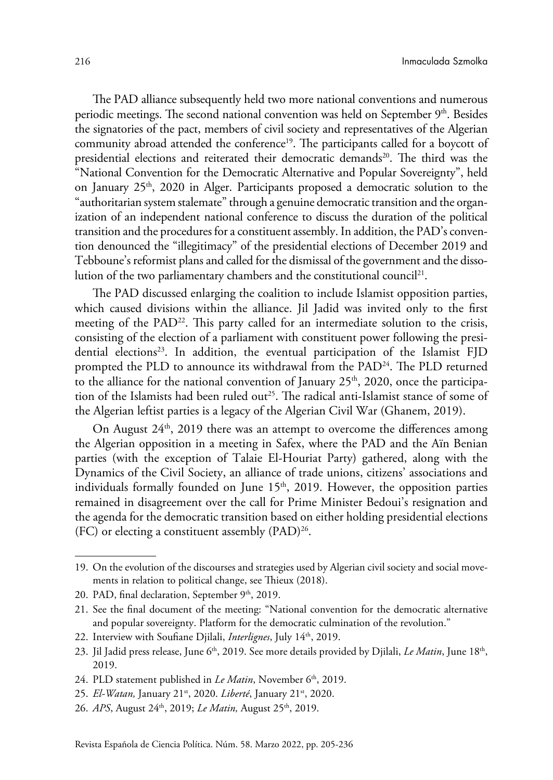The PAD alliance subsequently held two more national conventions and numerous periodic meetings. The second national convention was held on September  $9<sup>th</sup>$ . Besides the signatories of the pact, members of civil society and representatives of the Algerian community abroad attended the conference<sup>19</sup>. The participants called for a boycott of presidential elections and reiterated their democratic demands<sup>20</sup>. The third was the "National Convention for the Democratic Alternative and Popular Sovereignty", held on January  $25<sup>th</sup>$ , 2020 in Alger. Participants proposed a democratic solution to the "authoritarian system stalemate" through a genuine democratic transition and the organization of an independent national conference to discuss the duration of the political transition and the procedures for a constituent assembly. In addition, the PAD's convention denounced the "illegitimacy" of the presidential elections of December 2019 and Tebboune's reformist plans and called for the dismissal of the government and the dissolution of the two parliamentary chambers and the constitutional council<sup>21</sup>.

The PAD discussed enlarging the coalition to include Islamist opposition parties, which caused divisions within the alliance. Jil Jadid was invited only to the first meeting of the PAD<sup>22</sup>. This party called for an intermediate solution to the crisis, consisting of the election of a parliament with constituent power following the presidential elections<sup>23</sup>. In addition, the eventual participation of the Islamist  $FJD$ prompted the PLD to announce its withdrawal from the PAD<sup>24</sup>. The PLD returned to the alliance for the national convention of January  $25<sup>th</sup>$ , 2020, once the participation of the Islamists had been ruled out<sup>25</sup>. The radical anti-Islamist stance of some of the Algerian leftist parties is a legacy of the Algerian Civil War (Ghanem, 2019).

On August  $24<sup>th</sup>$ , 2019 there was an attempt to overcome the differences among the Algerian opposition in a meeting in Safex, where the PAD and the Aïn Benian parties (with the exception of Talaie El-Houriat Party) gathered, along with the Dynamics of the Civil Society, an alliance of trade unions, citizens' associations and individuals formally founded on June 15<sup>th</sup>, 2019. However, the opposition parties remained in disagreement over the call for Prime Minister Bedoui's resignation and the agenda for the democratic transition based on either holding presidential elections (FC) or electing a constituent assembly (PAD)<sup>26</sup>.

26. *APS*, August 24<sup>th</sup>, 2019; *Le Matin*, August 25<sup>th</sup>, 2019.

<sup>19.</sup> On the evolution of the discourses and strategies used by Algerian civil society and social movements in relation to political change, see Thieux (2018).

<sup>20.</sup> PAD, final declaration, September 9<sup>th</sup>, 2019.

<sup>21.</sup> See the final document of the meeting: ["National convention for the democratic alternative](https://www.facebook.com/PactePolitique/posts/180315456658222) [and popular sovereignty. Platform for the democratic culmination of the revolution."](https://www.facebook.com/PactePolitique/posts/180315456658222)

<sup>22.</sup> Interview with Soufiane Djilali, *Interlignes*, July 14<sup>th</sup>, 2019.

<sup>23.</sup> Jil Jadid press release, June 6<sup>th</sup>, 2019. See more details provided by Djilali, *Le Matin*, June 18<sup>th</sup>, [2019.](https://www.lematindalgerie.com/soufiane-djilali-pour-un-mandat-presidentiel-de-transition?fbclid=IwAR2WtIUPCo_nDAmHIxvUR-AtxKGt7P2YIhRr7l2TVmCoEd0Z0i4n4FTTQMo)

<sup>24.</sup> PLD statement published in *Le Matin*, November 6<sup>th</sup>, 2019.

<sup>25.</sup> *El-Watan,* [January 21st, 2020.](https://www.elwatan.com/edition/actualite/il-appelle-a-une-alliance-forte-contre-lislamisme-le-pld-participera-aux-assises-des-democrates-21-01-2020) *Liberté*[, January 21st, 2020](https://www.liberte-algerie.com/actualite/le-pld-annonce-sa-participation-332362).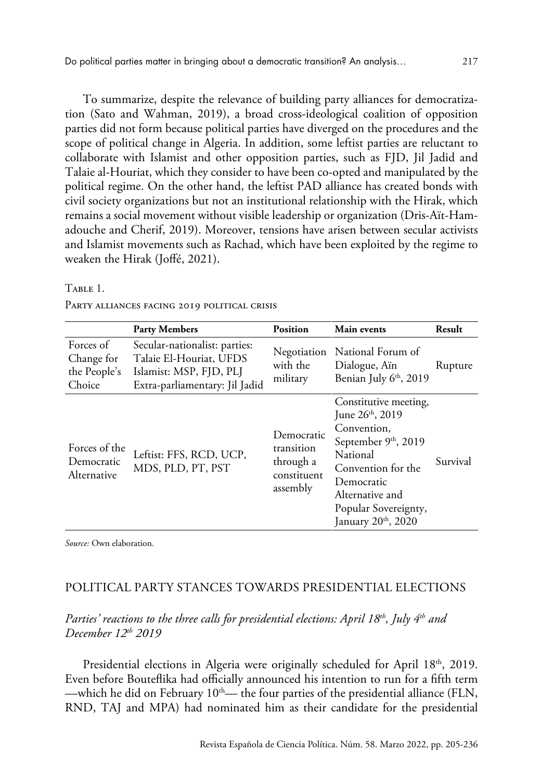To summarize, despite the relevance of building party alliances for democratization (Sato and Wahman, 2019), a broad cross-ideological coalition of opposition parties did not form because political parties have diverged on the procedures and the scope of political change in Algeria. In addition, some leftist parties are reluctant to collaborate with Islamist and other opposition parties, such as FJD, Jil Jadid and Talaie al-Houriat, which they consider to have been co-opted and manipulated by the political regime. On the other hand, the leftist PAD alliance has created bonds with civil society organizations but not an institutional relationship with the Hirak, which remains a social movement without visible leadership or organization (Dris-Aït-Hamadouche and Cherif, 2019). Moreover, tensions have arisen between secular activists and Islamist movements such as Rachad, which have been exploited by the regime to weaken the Hirak (Joffé, 2021).

#### Table 1.

|                                                   | <b>Party Members</b>                                                                                                  | <b>Position</b>                                                  | <b>Main events</b>                                                                                                                                                                                           | Result   |
|---------------------------------------------------|-----------------------------------------------------------------------------------------------------------------------|------------------------------------------------------------------|--------------------------------------------------------------------------------------------------------------------------------------------------------------------------------------------------------------|----------|
| Forces of<br>Change for<br>the People's<br>Choice | Secular-nationalist: parties:<br>Talaie El-Houriat, UFDS<br>Islamist: MSP, FJD, PLJ<br>Extra-parliamentary: Jil Jadid | Negotiation<br>with the<br>military                              | National Forum of<br>Dialogue, Ain<br>Benian July 6 <sup>th</sup> , 2019                                                                                                                                     | Rupture  |
| Forces of the<br>Democratic<br>Alternative        | Leftist: FFS, RCD, UCP,<br>MDS, PLD, PT, PST                                                                          | Democratic<br>transition<br>through a<br>constituent<br>assembly | Constitutive meeting,<br>June $26^{\text{th}}$ , 2019<br>Convention,<br>September 9th, 2019<br>National<br>Convention for the<br>Democratic<br>Alternative and<br>Popular Sovereignty,<br>January 20th, 2020 | Survival |

PARTY ALLIANCES FACING 2019 POLITICAL CRISIS

*Source:* Own elaboration.

# POLITICAL PARTY STANCES TOWARDS PRESIDENTIAL ELECTIONS

# *Parties' reactions to the three calls for presidential elections: April 18th, July 4th and December 12th 2019*

Presidential elections in Algeria were originally scheduled for April 18<sup>th</sup>, 2019. Even before Bouteflika had officially announced his intention to run for a fifth term —which he did on February  $10<sup>th</sup>$ — the four parties of the presidential alliance (FLN, RND, TAJ and MPA) had nominated him as their candidate for the presidential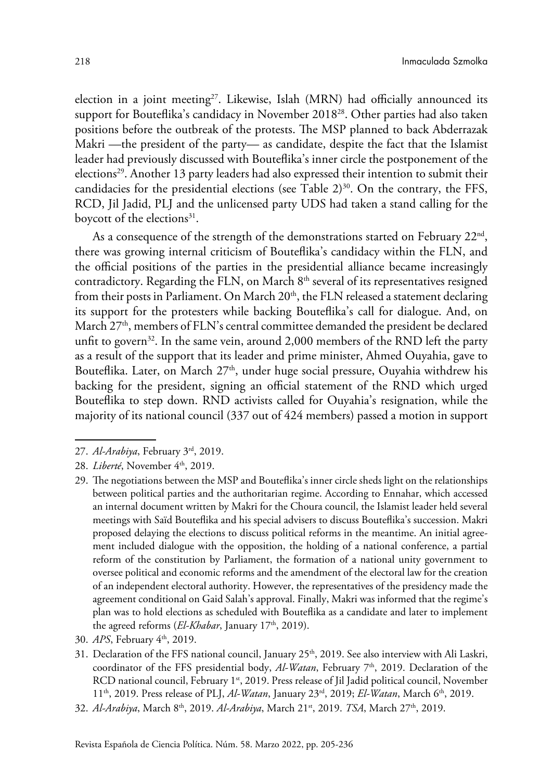election in a joint meeting<sup>27</sup>. Likewise, Islah (MRN) had officially announced its support for Bouteflika's candidacy in November 201828. Other parties had also taken positions before the outbreak of the protests. The MSP planned to back Abderrazak Makri —the president of the party— as candidate, despite the fact that the Islamist leader had previously discussed with Bouteflika's inner circle the postponement of the elections29. Another 13 party leaders had also expressed their intention to submit their candidacies for the presidential elections (see Table  $2^{30}$ . On the contrary, the FFS, RCD, Jil Jadid, PLJ and the unlicensed party UDS had taken a stand calling for the boycott of the elections<sup>31</sup>.

As a consequence of the strength of the demonstrations started on February  $22<sup>nd</sup>$ , there was growing internal criticism of Bouteflika's candidacy within the FLN, and the official positions of the parties in the presidential alliance became increasingly contradictory. Regarding the FLN, on March 8<sup>th</sup> several of its representatives resigned from their posts in Parliament. On March 20<sup>th</sup>, the FLN released a statement declaring its support for the protesters while backing Bouteflika's call for dialogue. And, on March  $27<sup>th</sup>$ , members of FLN's central committee demanded the president be declared unfit to govern<sup>32</sup>. In the same vein, around  $2,000$  members of the RND left the party as a result of the support that its leader and prime minister, Ahmed Ouyahia, gave to Bouteflika. Later, on March  $27<sup>th</sup>$ , under huge social pressure, Ouyahia withdrew his backing for the president, signing an official statement of the RND which urged Bouteflika to step down. RND activists called for Ouyahia's resignation, while the majority of its national council (337 out of 424 members) passed a motion in support

- 29. The negotiations between the MSP and Bouteflika's inner circle sheds light on the relationships between political parties and the authoritarian regime. According to Ennahar, which accessed an internal document written by Makri for the Choura council, the Islamist leader held several meetings with Saïd Bouteflika and his special advisers to discuss Bouteflika's succession. Makri proposed delaying the elections to discuss political reforms in the meantime. An initial agreement included dialogue with the opposition, the holding of a national conference, a partial reform of the constitution by Parliament, the formation of a national unity government to oversee political and economic reforms and the amendment of the electoral law for the creation of an independent electoral authority. However, the representatives of the presidency made the agreement conditional on Gaid Salah's approval. Finally, Makri was informed that the regime's plan was to hold elections as scheduled with Bouteflika as a candidate and later to implement the agreed reforms (*El-Khabar*, January 17<sup>th</sup>, 2019).
- 30. *APS*[, February 4th, 2019](http://www.aps.dz/algerie/84963-candidatures-a-la-presidentielle-2019-veritable-decantation-au-sein-des-partis-politiques).
- 31. Declaration of the FFS national council, January 25<sup>th</sup>, 2019. See also interview with Ali Laskri, coordinator of the FFS presidential body, *Al-Watan*, February 7<sup>th</sup>, 2019. [Declaration of the](http://rcd-algerie.net/2019/02/resolution-du-conseil-national-du-1-fevrier-2019/?fbclid=IwAR3lutM7lUaRrj4iBj3IFN4A2nep9_9Lt3hZZONAExxg0O9s9XMbI_87h_o) [RCD national council, February 1st, 2019](http://rcd-algerie.net/2019/02/resolution-du-conseil-national-du-1-fevrier-2019/?fbclid=IwAR3lutM7lUaRrj4iBj3IFN4A2nep9_9Lt3hZZONAExxg0O9s9XMbI_87h_o). Press [release of Jil Jadid political council, November](https://jiljadid.org/fr/2018/11/23/communique-23-11-2018/) [11th, 2019.](https://jiljadid.org/fr/2018/11/23/communique-23-11-2018/) Press release of PLJ, *Al-Watan*[, January 23rd, 2019;](https://www.elwatan.com/edition/actualite/le-plj-ne-presentera-pas-de-candidat-23-01-2019) *El-Watan*[, March 6th, 2019.](https://www.elwatan.com/edition/actualite/parti-de-la-liberte-et-de-la-justice-plj-a-propos-du-message-du-president-candidat-07-03-2019)
- 32. *Al-Arabiya*[, March 8th, 2019](https://english.alarabiya.net/en/News/north-africa/2019/03/08/Several-lawmakers-of-ruling-Algerian-FLN-party-resign-reports-TV.html). *Al-Arabiya*[, March 21st, 2019](https://english.alarabiya.net/en/News/north-africa/2019/03/21/Bouteflika-party-says-it-backs-Algeria-protests.html). *TSA*[, March 27th, 2019](https://www.tsa-algerie.com/fln-les-contestataires-saluent-la-decision-de-gaid-salah/).

<sup>27.</sup> *Al-Arabiya*[, February 3rd, 2019.](https://english.alarabiya.net/en/News/north-africa/2019/02/03/Algeria-ruling-coalition-backs-Bouteflika-for-April-poll.html)

<sup>28.</sup> *Liberté*, November 4<sup>th</sup>, 2019.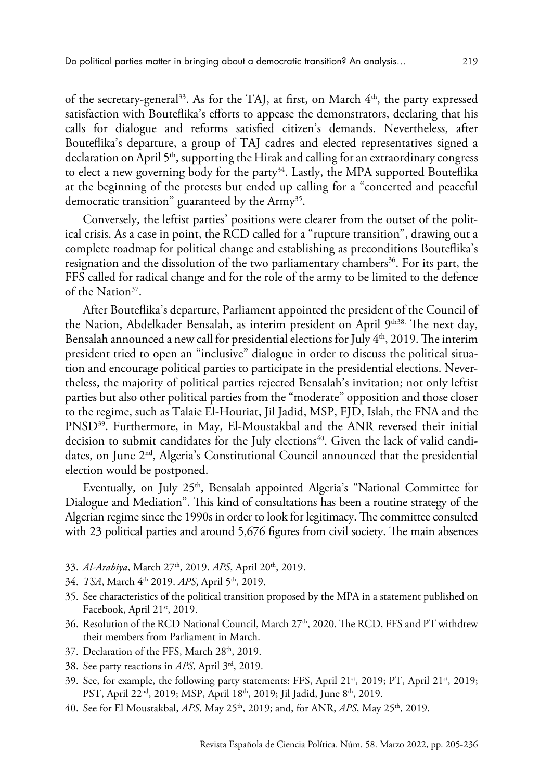of the secretary-general<sup>33</sup>. As for the TAJ, at first, on March  $4<sup>th</sup>$ , the party expressed satisfaction with Bouteflika's efforts to appease the demonstrators, declaring that his calls for dialogue and reforms satisfied citizen's demands. Nevertheless, after Bouteflika's departure, a group of TAJ cadres and elected representatives signed a declaration on April  $5<sup>th</sup>$ , supporting the Hirak and calling for an extraordinary congress to elect a new governing body for the party<sup>34</sup>. Lastly, the MPA supported Bouteflika at the beginning of the protests but ended up calling for a "concerted and peaceful democratic transition" guaranteed by the Army<sup>35</sup>.

Conversely, the leftist parties' positions were clearer from the outset of the political crisis. As a case in point, the RCD called for a "rupture transition", drawing out a complete roadmap for political change and establishing as preconditions Bouteflika's resignation and the dissolution of the two parliamentary chambers<sup>36</sup>. For its part, the FFS called for radical change and for the role of the army to be limited to the defence of the Nation<sup>37</sup>.

After Bouteflika's departure, Parliament appointed the president of the Council of the Nation, Abdelkader Bensalah, as interim president on April 9<sup>th38.</sup> The next day, Bensalah announced a new call for presidential elections for July  $4<sup>th</sup>$ , 2019. The interim president tried to open an "inclusive" dialogue in order to discuss the political situation and encourage political parties to participate in the presidential elections. Nevertheless, the majority of political parties rejected Bensalah's invitation; not only leftist parties but also other political parties from the "moderate" opposition and those closer to the regime, such as Talaie El-Houriat, Jil Jadid, MSP, FJD, Islah, the FNA and the PNSD39. Furthermore, in May, El-Moustakbal and the ANR reversed their initial decision to submit candidates for the July elections<sup>40</sup>. Given the lack of valid candidates, on June 2nd, Algeria's Constitutional Council announced that the presidential election would be postponed.

Eventually, on July  $25<sup>th</sup>$ , Bensalah appointed Algeria's "National Committee for Dialogue and Mediation". This kind of consultations has been a routine strategy of the Algerian regime since the 1990s in order to look for legitimacy. The committee consulted with 23 political parties and around 5,676 figures from civil society. The main absences

33. *Al-Arabiya*[, March 27th, 2019](https://english.alarabiya.net/en/News/north-africa/2019/03/27/Algeria-s-ruling-coalition-partner-RND-urges-Bouteflika-to-resign.html). *APS*[, April 20th, 2019](http://www.aps.dz/algerie/88345-mouvement-de-protestation-des-militants-du-rnd-reclamant-le-depart-du-sg-du-parti).

- 36. Resolution of the RCD National Council, March 27<sup>th</sup>, 2020. The RCD, FFS and PT withdrew their members from Parliament in March.
- 37. Declaration of the [FFS, March 28th, 2019.](https://www.facebook.com/ffsdz/posts/2107619326013987)
- 38. See party reactions in *APS*[, April 3rd, 2019](http://www.aps.dz/algerie/87628-des-partis-politiques-saluent-la-demission-de-bouteflika-qui-evite-au-pays-un-derapage).
- 39. See, for example, the following party statements: FFS, April 21<sup>st</sup>, 2019; PT, April 21<sup>st</sup>, 2019; PST, April 22<sup>nd</sup>, 2019; MSP, April 18<sup>th</sup>, 2019; Jil Jadid, June 8<sup>th</sup>, 2019.
- 40. See for El Moustakbal, *APS*[, May 25th, 2019](http://www.aps.dz/en/algeria/29348-presidential-election-el-moustakbal-front-won-t-submit-candidacy-application); and, for ANR, *APS*[, May 25th, 2019](http://www.aps.dz/algerie/89855-l-anr-decide-de-suspendre-sa-participation-a-la-presidentielle-du-4-juillet).

<sup>34.</sup> *TSA*, March 4<sup>th</sup> 2019. *APS*, April 5<sup>th</sup>, 2019.

<sup>35.</sup> See characteristics of the political transition proposed by the MPA in a statement published on Facebook, April 21<sup>st</sup>, 2019.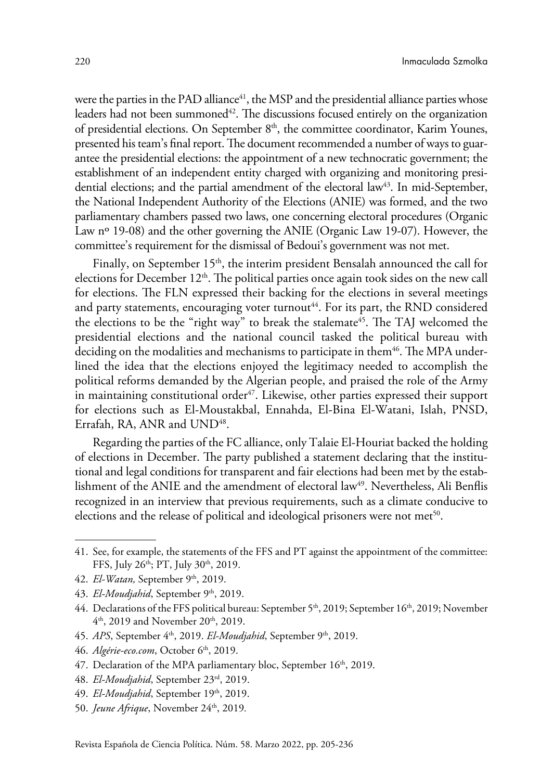were the parties in the PAD alliance $41$ , the MSP and the presidential alliance parties whose leaders had not been summoned $42$ . The discussions focused entirely on the organization of presidential elections. On September 8<sup>th</sup>, the committee coordinator, Karim Younes, presented his team's final report. The document recommended a number of ways to guarantee the presidential elections: the appointment of a new technocratic government; the establishment of an independent entity charged with organizing and monitoring presidential elections; and the partial amendment of the electoral law<sup>43</sup>. In mid-September, the National Independent Authority of the Elections (ANIE) was formed, and the two parliamentary chambers passed two laws, one concerning electoral procedures (Organic Law n<sup>o</sup> 19-08) and the other governing the ANIE (Organic Law 19-07). However, the committee's requirement for the dismissal of Bedoui's government was not met.

Finally, on September  $15<sup>th</sup>$ , the interim president Bensalah announced the call for elections for December 12<sup>th</sup>. The political parties once again took sides on the new call for elections. The FLN expressed their backing for the elections in several meetings and party statements, encouraging voter turnout<sup>44</sup>. For its part, the RND considered the elections to be the "right way" to break the stalemate<sup>45</sup>. The TAJ welcomed the presidential elections and the national council tasked the political bureau with deciding on the modalities and mechanisms to participate in them<sup>46</sup>. The MPA underlined the idea that the elections enjoyed the legitimacy needed to accomplish the political reforms demanded by the Algerian people, and praised the role of the Army in maintaining constitutional order $47$ . Likewise, other parties expressed their support for elections such as El-Moustakbal, Ennahda, El-Bina El-Watani, Islah, PNSD, Errafah, RA, ANR and UND<sup>48</sup>.

Regarding the parties of the FC alliance, only Talaie El-Houriat backed the holding of elections in December. The party published a statement declaring that the institutional and legal conditions for transparent and fair elections had been met by the establishment of the ANIE and the amendment of electoral law<sup>49</sup>. Nevertheless, Ali Benflis recognized in an interview that previous requirements, such as a climate conducive to elections and the release of political and ideological prisoners were not met<sup>50</sup>.

- 47. Declaration of the MPA parliamentary bloc, September  $16<sup>th</sup>$ , 2019.
- 48. *El-Moudjahid*[, September 23rd, 2019](http://www.elmoudjahid.com/fr/actualites/142321).
- 49. *El-Moudjahid*[, September 19th, 2019](http://www.elmoudjahid.com/fr/actualites/142175).
- 50. *Jeune Afrique*[, November 24th, 2019](https://www.jeuneafrique.com/mag/860253/politique/presidentielle-en-algerie-ali-benflis-mon-programme-sauver-le-pays/)*.*

<sup>41.</sup> See, for example, the statements of the FFS and PT against the appointment of the committee: [FFS, July](https://www.facebook.com/ffsdz/photos/front_des_forces_socialistessecr%C3%A9tariat-national-alger-le-26072019communiqu%C3%A9un-p/2326694464106471/) 26th; [PT, July 30th, 2019](https://www.facebook.com/pageofficiellept/).

<sup>42.</sup> *El-Watan*, September 9<sup>th</sup>, 2019.

<sup>43.</sup> *El-Moudjahid*, September 9<sup>th</sup>, 2019.

<sup>44.</sup> Declarations of the FFS political bureau: September 5<sup>th</sup>, 2019; September 16<sup>th</sup>, 2019; [November](http://flndz.com/?p=1906)  $4<sup>th</sup>$ , 2019 and November 20<sup>th</sup>, 2019.

<sup>45.</sup> *APS*, September 4<sup>th</sup>, 2019. *El-Moudjahid*, September 9<sup>th</sup>, 2019.

<sup>46.</sup> *Algérie-eco.com*[, October 6th, 2019](https://www.algerie-eco.com/2019/10/06/presidentielle-taj-sera-de-la-partie/).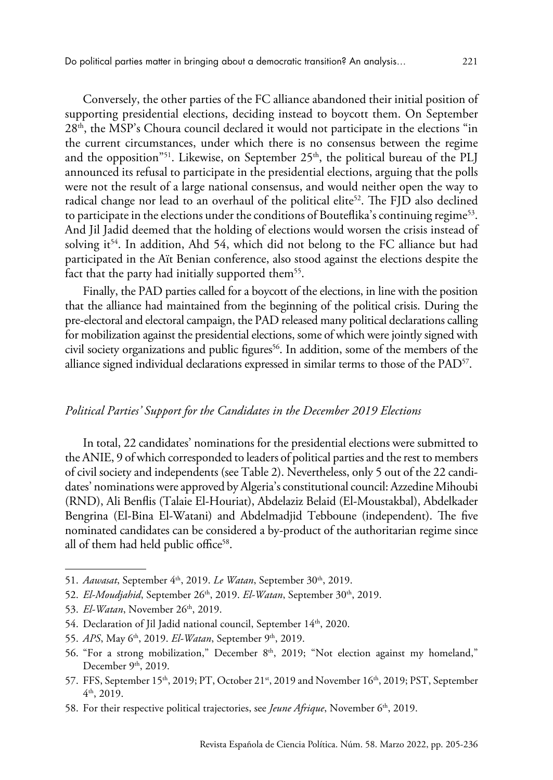Conversely, the other parties of the FC alliance abandoned their initial position of supporting presidential elections, deciding instead to boycott them. On September 28th, the MSP's Choura council declared it would not participate in the elections "in the current circumstances, under which there is no consensus between the regime and the opposition<sup>"51</sup>. Likewise, on September  $25<sup>th</sup>$ , the political bureau of the PLJ announced its refusal to participate in the presidential elections, arguing that the polls were not the result of a large national consensus, and would neither open the way to radical change nor lead to an overhaul of the political elite<sup>52</sup>. The FJD also declined to participate in the elections under the conditions of Bouteflika's continuing regime<sup>53</sup>. And Jil Jadid deemed that the holding of elections would worsen the crisis instead of solving it<sup>54</sup>. In addition, Ahd 54, which did not belong to the FC alliance but had participated in the Aït Benian conference, also stood against the elections despite the fact that the party had initially supported them<sup>55</sup>.

Finally, the PAD parties called for a boycott of the elections, in line with the position that the alliance had maintained from the beginning of the political crisis. During the pre-electoral and electoral campaign, the PAD released many political declarations calling for mobilization against the presidential elections, some of which were jointly signed with civil society organizations and public figures<sup>56</sup>. In addition, some of the members of the alliance signed individual declarations expressed in similar terms to those of the  $PAD^{57}$ .

#### *Political Parties' Support for the Candidates in the December 2019 Elections*

In total, 22 candidates' nominations for the presidential elections were submitted to the ANIE, 9 of which corresponded to leaders of political parties and the rest to members of civil society and independents (see Table 2). Nevertheless, only 5 out of the 22 candidates' nominations were approved by Algeria's constitutional council: Azzedine Mihoubi (RND), Ali Benflis (Talaie El-Houriat), Abdelaziz Belaid (El-Moustakbal), Abdelkader Bengrina (El-Bina El-Watani) and Abdelmadjid Tebboune (independent). The five nominated candidates can be considered a by-product of the authoritarian regime since all of them had held public office<sup>58</sup>.

- 51. *Aawasat*, September 4<sup>th</sup>, 2019. *Le Watan*, September 30<sup>th</sup>, 2019.
- 52. *El-Moudjahid*, September 26<sup>th</sup>, 2019. *El-Watan*, September 30<sup>th</sup>, 2019.
- 53. *El-Watan*[, November 26th, 2019](https://www.elwatan.com/edition/actualite/le-scenario-du-18-avril-pourrait-il-se-reproduire-26-11-2019).
- 54. [Declaration of Jil Jadid national council, September 14th, 2020.](file:///E:\22 02 2020 INMA SZMOLKA FAC. CC.PCAS\PEN JUNIO 2020\PUBLICACIONES\2020\ARGELIA\he party rejected the holding of the elections that it considered worsened the situation of the crisis instead of solving it)
- 55. *APS*, May 6<sup>th</sup>, 2019. *El-Watan*, September 9<sup>th</sup>, 2019.
- 56. "For a strong mobilization," December  $8<sup>th</sup>$ , 2019; ["Not election against my homeland](https://www.facebook.com/PactePolitique/posts/180315456658222)," December 9<sup>th</sup>, 2019.
- 57. FFS, [September](https://www.elwatan.com/edition/actualite/il-denonce-le-viol-de-la-souverainete-du-peuple-le-pst-appelle-a-la-poursuite-de-la-mobilisation-populaire-16-12-2019) 15<sup>th</sup>, 2019; PT, October 21<sup>st</sup>, 2019 and November 16<sup>th</sup>, 2019; PST, September [4th, 2019](https://www.elwatan.com/edition/actualite/il-denonce-le-viol-de-la-souverainete-du-peuple-le-pst-appelle-a-la-poursuite-de-la-mobilisation-populaire-16-12-2019).
- 58. For their respective political trajectories, see *Jeune Afrique*, November 6<sup>th</sup>, 2019.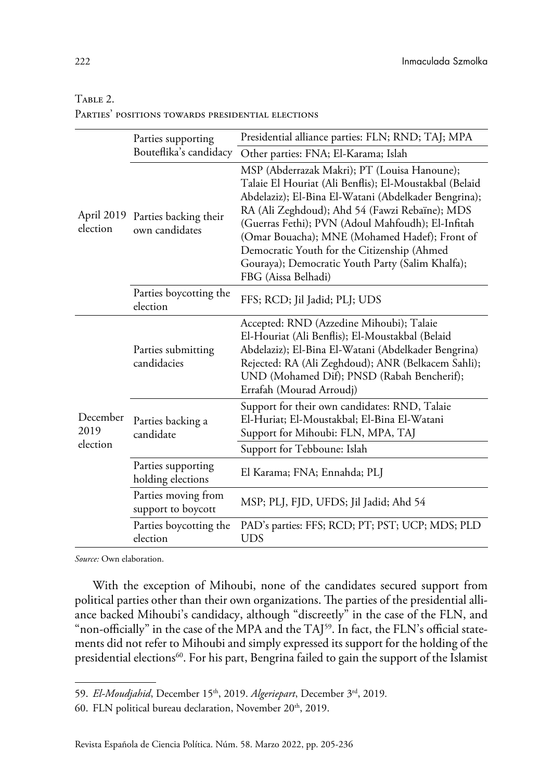### TABLE 2.

| PARTIES' POSITIONS TOWARDS PRESIDENTIAL ELECTIONS |
|---------------------------------------------------|
|---------------------------------------------------|

|                              | Parties supporting                        | Presidential alliance parties: FLN; RND; TAJ; MPA                                                                                                                                                                                                                                                                                                                                                                                                |  |
|------------------------------|-------------------------------------------|--------------------------------------------------------------------------------------------------------------------------------------------------------------------------------------------------------------------------------------------------------------------------------------------------------------------------------------------------------------------------------------------------------------------------------------------------|--|
| April 2019<br>election       | Bouteflika's candidacy                    | Other parties: FNA; El-Karama; Islah                                                                                                                                                                                                                                                                                                                                                                                                             |  |
|                              | Parties backing their<br>own candidates   | MSP (Abderrazak Makri); PT (Louisa Hanoune);<br>Talaie El Houriat (Ali Benflis); El-Moustakbal (Belaid<br>Abdelaziz); El-Bina El-Watani (Abdelkader Bengrina);<br>RA (Ali Zeghdoud); Ahd 54 (Fawzi Rebaïne); MDS<br>(Guerras Fethi); PVN (Adoul Mahfoudh); El-Infitah<br>(Omar Bouacha); MNE (Mohamed Hadef); Front of<br>Democratic Youth for the Citizenship (Ahmed<br>Gouraya); Democratic Youth Party (Salim Khalfa);<br>FBG (Aissa Belhadi) |  |
|                              | Parties boycotting the<br>election        | FFS; RCD; Jil Jadid; PLJ; UDS                                                                                                                                                                                                                                                                                                                                                                                                                    |  |
| December<br>2019<br>election | Parties submitting<br>candidacies         | Accepted: RND (Azzedine Mihoubi); Talaie<br>El-Houriat (Ali Benflis); El-Moustakbal (Belaid<br>Abdelaziz); El-Bina El-Watani (Abdelkader Bengrina)<br>Rejected: RA (Ali Zeghdoud); ANR (Belkacem Sahli);<br>UND (Mohamed Dif); PNSD (Rabah Bencherif);<br>Errafah (Mourad Arroudj)                                                                                                                                                               |  |
|                              | Parties backing a<br>candidate            | Support for their own candidates: RND, Talaie<br>El-Huriat; El-Moustakbal; El-Bina El-Watani<br>Support for Mihoubi: FLN, MPA, TAJ                                                                                                                                                                                                                                                                                                               |  |
|                              |                                           | Support for Tebboune: Islah                                                                                                                                                                                                                                                                                                                                                                                                                      |  |
|                              | Parties supporting<br>holding elections   | El Karama; FNA; Ennahda; PLJ                                                                                                                                                                                                                                                                                                                                                                                                                     |  |
|                              | Parties moving from<br>support to boycott | MSP; PLJ, FJD, UFDS; Jil Jadid; Ahd 54                                                                                                                                                                                                                                                                                                                                                                                                           |  |
|                              | Parties boycotting the<br>election        | PAD's parties: FFS; RCD; PT; PST; UCP; MDS; PLD<br><b>UDS</b>                                                                                                                                                                                                                                                                                                                                                                                    |  |

*Source:* Own elaboration.

With the exception of Mihoubi, none of the candidates secured support from political parties other than their own organizations. The parties of the presidential alliance backed Mihoubi's candidacy, although "discreetly" in the case of the FLN, and "non-officially" in the case of the MPA and the TAJ<sup>59</sup>. In fact, the FLN's official statements did not refer to Mihoubi and simply expressed its support for the holding of the presidential elections<sup>60</sup>. For his part, Bengrina failed to gain the support of the Islamist

<sup>59.</sup> *El-Moudjahid*[, December 15th, 2019](http://www.elmoudjahid.com/ar/actualites/16335). *Algeriepart*[, December 3rd, 2019](https://algeriepartplus.com/exclusif-le-taj-damar-ghoul-et-le-mpa-damara-benyounes-rejoignent-azzedine-mihoubi/)*.*

<sup>60.</sup> FLN political bureau declaration, November 20<sup>th</sup>, 2019.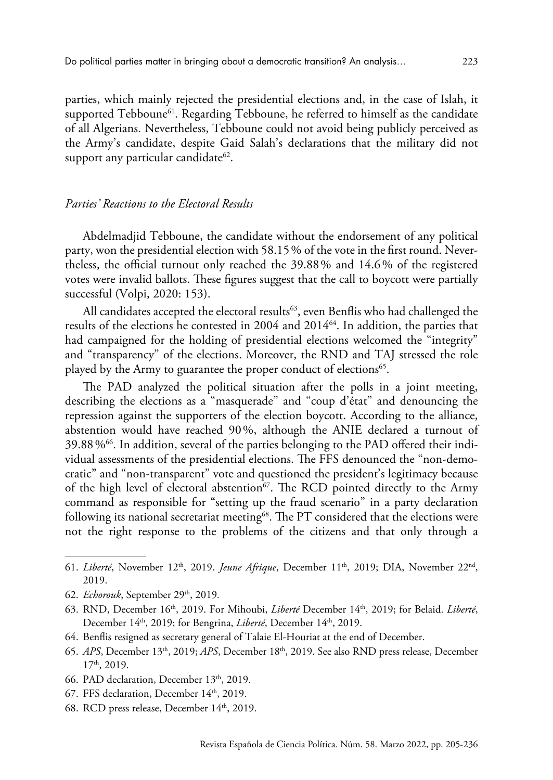parties, which mainly rejected the presidential elections and, in the case of Islah, it supported Tebboune<sup>61</sup>. Regarding Tebboune, he referred to himself as the candidate of all Algerians. Nevertheless, Tebboune could not avoid being publicly perceived as the Army's candidate, despite Gaid Salah's declarations that the military did not support any particular candidate<sup>62</sup>.

## *Parties' Reactions to the Electoral Results*

Abdelmadjid Tebboune, the candidate without the endorsement of any political party, won the presidential election with 58.15% of the vote in the first round. Nevertheless, the official turnout only reached the 39.88% and 14.6% of the registered votes were invalid ballots. These figures suggest that the call to boycott were partially successful (Volpi, 2020: 153).

All candidates accepted the electoral results<sup>63</sup>, even Benflis who had challenged the results of the elections he contested in 2004 and 2014<sup>64</sup>. In addition, the parties that had campaigned for the holding of presidential elections welcomed the "integrity" and "transparency" of the elections. Moreover, the RND and TAJ stressed the role played by the Army to guarantee the proper conduct of elections<sup>65</sup>.

The PAD analyzed the political situation after the polls in a joint meeting, describing the elections as a "masquerade" and "coup d'état" and denouncing the repression against the supporters of the election boycott. According to the alliance, abstention would have reached 90%, although the ANIE declared a turnout of  $39.88\%$ <sup>66</sup>. In addition, several of the parties belonging to the PAD offered their individual assessments of the presidential elections. The FFS denounced the "non-democratic" and "non-transparent" vote and questioned the president's legitimacy because of the high level of electoral abstention<sup>67</sup>. The RCD pointed directly to the Army command as responsible for "setting up the fraud scenario" in a party declaration following its national secretariat meeting<sup>68</sup>. The PT considered that the elections were not the right response to the problems of the citizens and that only through a

- 64. Benflis resigned as secretary general of Talaie El-Houriat at the end of December.
- 65. *APS*[, December 13th, 2019;](http://www.aps.dz/algerie/98928-presidentielle-2019-taj-felicite-le-peuple-algerien) *APS*[, December 18th, 2019](http://www.aps.dz/algerie/99096-le-rnd-felicite-le-peuple-algerien-pour-sa-contribution-effective-a-la-reussite-de-la-presidentielle). See also [RND press release, December](http://www.aps.dz/algerie/99096-le-rnd-felicite-le-peuple-algerien-pour-sa-contribution-effective-a-la-reussite-de-la-presidentielle)  [17th, 2019](http://www.aps.dz/algerie/99096-le-rnd-felicite-le-peuple-algerien-pour-sa-contribution-effective-a-la-reussite-de-la-presidentielle).
- 66. PAD declaration, December 13<sup>th</sup>, 2019.
- 67. FFS declaration, December 14<sup>th</sup>, 2019.
- 68. RCD press release, December 14<sup>th</sup>, 2019.

<sup>61.</sup> *Liberté*[, November 12th, 2019](https://www.liberte-algerie.com/actualite/presidentielle-les-soutiens-encombrants-de-tebboune-327869). *Jeune Afrique*[, December 11th, 2019;](https://www.jeuneafrique.com/868098/politique/presidentielle-en-algerie-cinq-choses-a-savoir-sur-le-candidat-abdelkader-bengrina/) [DIA, November 22nd,](http://dia-algerie.com/voila-pourquoi-lislamiste-bengrina-ne-sera-jamais-president-de-la-republique/)  [2019](http://dia-algerie.com/voila-pourquoi-lislamiste-bengrina-ne-sera-jamais-president-de-la-republique/).

<sup>62.</sup> *Echorouk*[, September 29th, 2019](https://www.echoroukonline.com/gaid-salah-the-army-has-no-candidate-in-the-presidential-elections/)*.*

<sup>63.</sup> [RND, December 16th, 2019](https://www.facebook.com/Rnd-%D8%A7%D9%84%D8%AA%D8%AC%D9%85%D8%B9-%D8%A7%D9%84%D9%88%D8%B7%D9%86%D9%8A-%D8%A7%D9%84%D8%AF%D9%8A%D9%85%D9%82%D8%B1%D8%A7%D8%B7%D9%8A-%D8%A8%D9%88%D9%81%D8%A7%D8%B7%D9%8A%D8%B3-160140851127080/). For Mihoubi, *Liberté* [December 14th, 2019;](https://www.liberte-algerie.com/actualite/mihoubi-reconnait-sa-defaite-330082) for Belaid. *[Liberté](https://www.liberte-algerie.com/actualite/abdelaziz-belaid-na-pas-souhaite-commenter-les-resultats-330081)*, December 14<sup>th</sup>, 2019; for Bengrina, *Liberté*, December 14<sup>th</sup>, 2019.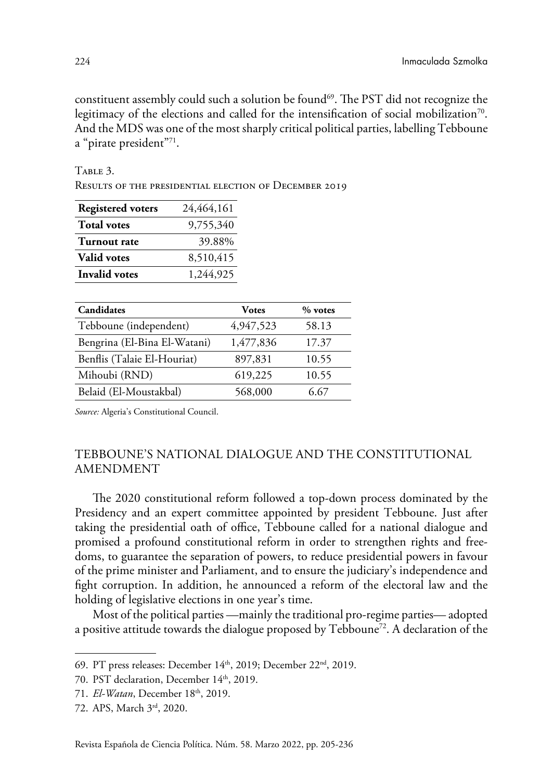constituent assembly could such a solution be found69. The PST did not recognize the legitimacy of the elections and called for the intensification of social mobilization<sup>70</sup>. And the MDS was one of the most sharply critical political parties, labelling Tebboune a "pirate president"71.

TABLE 3.

Results of the presidential election of December 2019

| <b>Registered voters</b> | 24,464,161 |
|--------------------------|------------|
| <b>Total votes</b>       | 9,755,340  |
| Turnout rate             | 39.88%     |
| <b>Valid votes</b>       | 8,510,415  |
| <b>Invalid votes</b>     | 1.244.925  |

| Candidates                   | Votes     | $%$ votes |
|------------------------------|-----------|-----------|
| Tebboune (independent)       | 4,947,523 | 58.13     |
| Bengrina (El-Bina El-Watani) | 1,477,836 | 17.37     |
| Benflis (Talaie El-Houriat)  | 897,831   | 10.55     |
| Mihoubi (RND)                | 619,225   | 10.55     |
| Belaid (El-Moustakbal)       | 568,000   | 6.67      |

*Source:* [Algeria's Constitutional Council.](http://www.conseil-constitutionnel.dz/index.php/fr/2019)

# TEBBOUNE'S NATIONAL DIALOGUE AND THE CONSTITUTIONAL AMENDMENT

The 2020 constitutional reform followed a top-down process dominated by the Presidency and an expert committee appointed by president Tebboune. Just after taking the presidential oath of office, Tebboune called for a national dialogue and promised a profound constitutional reform in order to strengthen rights and freedoms, to guarantee the separation of powers, to reduce presidential powers in favour of the prime minister and Parliament, and to ensure the judiciary's independence and fight corruption. In addition, he announced a reform of the electoral law and the holding of legislative elections in one year's time.

Most of the political parties —mainly the traditional pro-regime parties— adopted a positive attitude towards the dialogue proposed by  $Tebboune^{72}$ . A declaration of the

<sup>69.</sup> [PT press releases: December 1](https://www.facebook.com/pageofficiellept/)4th, 2019; December 22nd, 2019.

<sup>70.</sup> PST declaration, December 14<sup>th</sup>, 2019.

<sup>71.</sup> *El-Watan*, December 18<sup>th</sup>, 2019.

<sup>72.</sup> [APS, March 3rd, 2020](https://www.aps.dz/algerie/102473-revision-de-la-constitution-des-partis-politiques-disposes-a-contribuer-a-l-enrichissement-du-document).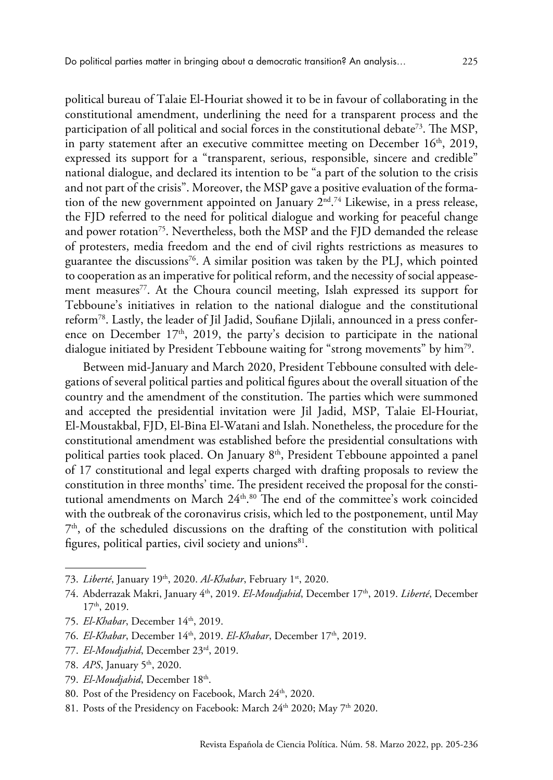political bureau of Talaie El-Houriat showed it to be in favour of collaborating in the constitutional amendment, underlining the need for a transparent process and the participation of all political and social forces in the constitutional debate<sup>73</sup>. The MSP, in party statement after an executive committee meeting on December  $16<sup>th</sup>$ , 2019, expressed its support for a "transparent, serious, responsible, sincere and credible" national dialogue, and declared its intention to be "a part of the solution to the crisis and not part of the crisis". Moreover, the MSP gave a positive evaluation of the formation of the new government appointed on January  $2<sup>nd</sup>$ .<sup>74</sup> Likewise, in a press release, the FJD referred to the need for political dialogue and working for peaceful change and power rotation<sup>75</sup>. Nevertheless, both the MSP and the FJD demanded the release of protesters, media freedom and the end of civil rights restrictions as measures to guarantee the discussions<sup>76</sup>. A similar position was taken by the PLJ, which pointed to cooperation as an imperative for political reform, and the necessity of social appeasement measures<sup>77</sup>. At the Choura council meeting, Islah expressed its support for Tebboune's initiatives in relation to the national dialogue and the constitutional reform78. Lastly, the leader of Jil Jadid, Soufiane Djilali, announced in a press conference on December  $17<sup>th</sup>$ , 2019, the party's decision to participate in the national dialogue initiated by President Tebboune waiting for "strong movements" by him79.

Between mid-January and March 2020, President Tebboune consulted with delegations of several political parties and political figures about the overall situation of the country and the amendment of the constitution. The parties which were summoned and accepted the presidential invitation were Jil Jadid, MSP, Talaie El-Houriat, El-Moustakbal, FJD, El-Bina El-Watani and Islah. Nonetheless, the procedure for the constitutional amendment was established before the presidential consultations with political parties took placed. On January 8<sup>th</sup>, President Tebboune appointed a panel of 17 constitutional and legal experts charged with drafting proposals to review the constitution in three months' time. The president received the proposal for the constitutional amendments on March  $24^{\text{th}},^{80}$  The end of the committee's work coincided with the outbreak of the coronavirus crisis, which led to the postponement, until May  $7<sup>th</sup>$ , of the scheduled discussions on the drafting of the constitution with political figures, political parties, civil society and unions $81$ .

- 73. *Liberté*, January 19<sup>th</sup>, 2020. *Al-Khabar*[, February 1st, 2020](https://www.elkhabar.com/press/article/162933/%D8%B7%D9%84%D8%A7%D8%A6%D8%B9-%D8%A7%D9%84%D8%AD%D8%B1%D9%8A%D8%A7%D8%AA-%D9%8A%D8%B9%D9%82%D8%AF-%D9%85%D8%A4%D8%AA%D9%85%D8%B1%D9%87-%D9%81%D9%8A-%D8%AC%D9%88%D8%A7%D9%86-%D8%A7%D9%84%D9%82%D8%A7%D8%AF%D9%85).
- 74. [Abderrazak Makri, January 4th, 2019.](https://www.facebook.com/Abderrazak.Makri/posts/2715299221849438) *El-Moudjahid*[, December 17th, 2019.](http://www.elmoudjahid.com/fr/actualites/145929) *Liberté*[, December](https://www.liberte-algerie.com/actualite/le-msp-dispose-a-prendre-part-au-dialogue-330290)  [17th, 2019](https://www.liberte-algerie.com/actualite/le-msp-dispose-a-prendre-part-au-dialogue-330290).
- 75. *El-Khabar*[, December 14th, 2019](https://www.elkhabar.com/press/article/161008/%D8%AC%D8%A8%D9%87%D8%A9-%D8%A7%D9%84%D8%B9%D8%AF%D8%A7%D9%84%D8%A9-%D9%88%D8%A7%D9%84%D8%AA%D9%86%D9%85%D9%8A%D8%A9-%D8%AA%D8%AF%D8%B9%D9%88-%D8%A5%D9%84%D9%89-%D8%AD%D9%88%D8%A7%D8%B1-%D8%B4%D8%A7%D9%85%D9%84).
- 76. *El-Khabar*[, December 14th, 2019](https://www.elkhabar.com/press/article/161008/%D8%AC%D8%A8%D9%87%D8%A9-%D8%A7%D9%84%D8%B9%D8%AF%D8%A7%D9%84%D8%A9-%D9%88%D8%A7%D9%84%D8%AA%D9%86%D9%85%D9%8A%D8%A9-%D8%AA%D8%AF%D8%B9%D9%88-%D8%A5%D9%84%D9%89-%D8%AD%D9%88%D8%A7%D8%B1-%D8%B4%D8%A7%D9%85%D9%84). *El-Khabar*[, December 17th, 2019](https://www.elkhabar.com/press/article/161071/%D8%B4%D8%B1%D9%88%D8%B7-%D8%AD%D9%85%D8%B3-%D9%84%D8%A5%D9%86%D8%AC%D8%A7%D8%AD-%D8%A7%D9%84%D8%AD%D9%88%D8%A7%D8%B1/).
- 77. *El-Moudjahid*[, December 23rd, 2019.](http://www.elmoudjahid.com/fr/actualites/146204)
- 78. *APS*[, January 5th, 2020.](http://www.aps.dz/algerie/99740-le-mouvement-el-islah-apporte-son-soutien-au-gouvernement-pour-les-differents-chantiers-de-reformes-profondes)
- 79. *[El-Moudjahid](http://www.elmoudjahid.com/fr/actualites/145968)*, December 18<sup>th</sup>.
- 80. Post of the Presidency on Facebook, March 24<sup>th</sup>, 2020.
- 81. Posts of the Presidency on Facebook: March 24<sup>th</sup> 2020; May 7<sup>th</sup> 2020.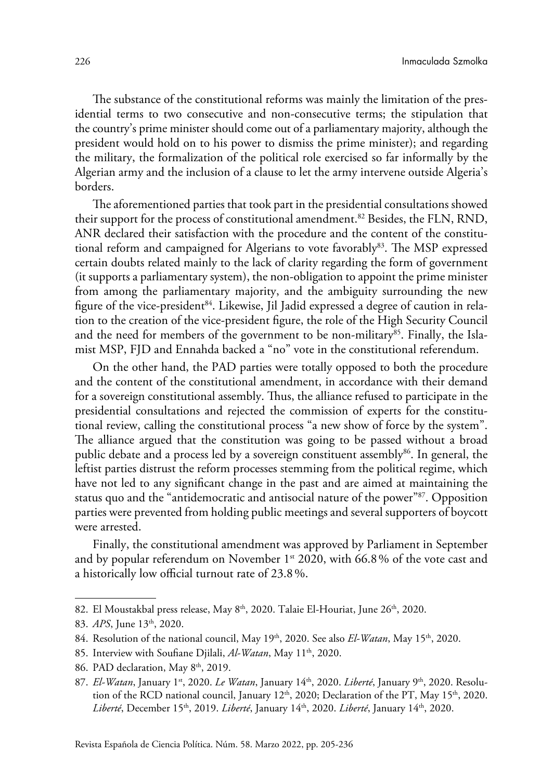The substance of the constitutional reforms was mainly the limitation of the presidential terms to two consecutive and non-consecutive terms; the stipulation that the country's prime minister should come out of a parliamentary majority, although the president would hold on to his power to dismiss the prime minister); and regarding the military, the formalization of the political role exercised so far informally by the Algerian army and the inclusion of a clause to let the army intervene outside Algeria's borders.

The aforementioned parties that took part in the presidential consultations showed their support for the process of constitutional amendment.82 Besides, the FLN, RND, ANR declared their satisfaction with the procedure and the content of the constitutional reform and campaigned for Algerians to vote favorably<sup>83</sup>. The MSP expressed certain doubts related mainly to the lack of clarity regarding the form of government (it supports a parliamentary system), the non-obligation to appoint the prime minister from among the parliamentary majority, and the ambiguity surrounding the new figure of the vice-president<sup>84</sup>. Likewise, Jil Jadid expressed a degree of caution in relation to the creation of the vice-president figure, the role of the High Security Council and the need for members of the government to be non-military $^{85}$ . Finally, the Islamist MSP, FJD and Ennahda backed a "no" vote in the constitutional referendum.

On the other hand, the PAD parties were totally opposed to both the procedure and the content of the constitutional amendment, in accordance with their demand for a sovereign constitutional assembly. Thus, the alliance refused to participate in the presidential consultations and rejected the commission of experts for the constitutional review, calling the constitutional process "a new show of force by the system". The alliance argued that the constitution was going to be passed without a broad public debate and a process led by a sovereign constituent assembly86. In general, the leftist parties distrust the reform processes stemming from the political regime, which have not led to any significant change in the past and are aimed at maintaining the status quo and the "antidemocratic and antisocial nature of the power"87. Opposition parties were prevented from holding public meetings and several supporters of boycott were arrested.

Finally, the constitutional amendment was approved by Parliament in September and by popular referendum on November 1<sup>st</sup> 2020, with 66.8% of the vote cast and a historically low official turnout rate of 23.8%.

<sup>82.</sup> El Moustakbal press release, May 8<sup>th</sup>, 2020. Talaie El-Houriat, June 26<sup>th</sup>, 2020.

<sup>83.</sup> *APS*, June 13<sup>th</sup>, 2020.

<sup>84.</sup> Resolution of the national council, May 19<sup>th</sup>, 2020. See also *El-Watan*, May 15<sup>th</sup>, 2020.

<sup>85.</sup> Interview with Soufiane Djilali, *Al-Watan*, May 11<sup>th</sup>, 2020.

<sup>86.</sup> PAD declaration, May 8<sup>th</sup>, 2019.

<sup>87.</sup> *El-Watan*, January 1<sup>st</sup>, 2020. *Le Watan*, January 14<sup>th</sup>, 2020. *Liberté*, January 9<sup>th</sup>, 2020. [Resolu](https://rcd-algerie.net/2020/01/resolutions-du-conseil-national-du-11-janvier-2020/)tion of the RCD national council, January 12<sup>th</sup>, 2020; Declaration of the PT, May 15<sup>th</sup>, 2020. *Liberté*[, December 15th, 2019](https://www.liberte-algerie.com/actualite/le-ffs-pointe-l-illegitimite-du-president-elu-330187). *Liberté*[, January 14th, 2020.](https://www.liberte-algerie.com/actualite/le-ffs-rejette-lagenda-politique-de-tebboune-331914) *Liberté*[, January 14th, 2020](https://www.liberte-algerie.com/actualite/lheure-est-a-la-mobilisation-pour-construire-lalternative-democratique-331915).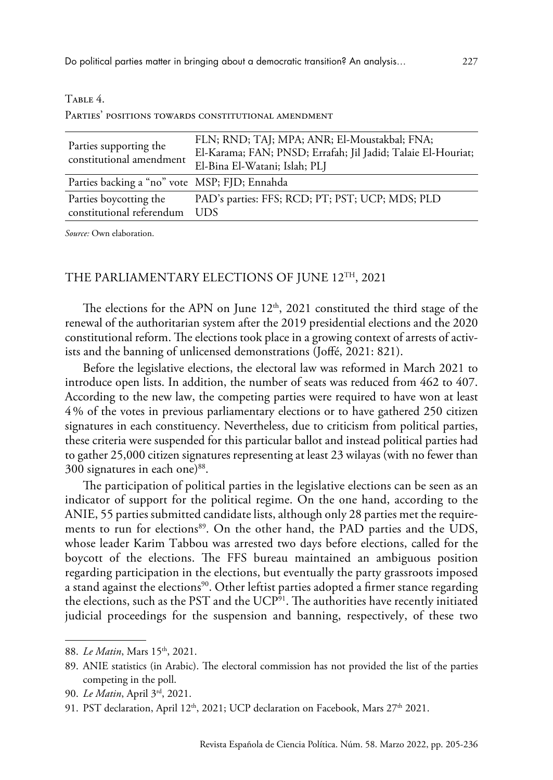| Parties supporting the<br>constitutional amendment  | FLN; RND; TAJ; MPA; ANR; El-Moustakbal; FNA;<br>El-Karama; FAN; PNSD; Errafah; Jil Jadid; Talaie El-Houriat;<br>El-Bina El-Watani; Islah; PLJ |
|-----------------------------------------------------|-----------------------------------------------------------------------------------------------------------------------------------------------|
| Parties backing a "no" vote MSP; FJD; Ennahda       |                                                                                                                                               |
| Parties boycotting the<br>constitutional referendum | PAD's parties: FFS; RCD; PT; PST; UCP; MDS; PLD<br><b>TIDS</b>                                                                                |

#### $T$ ari e  $4$ .

PARTIES' POSITIONS TOWARDS CONSTITUTIONAL AMENDMENT

*Source:* Own elaboration.

## THE PARLIAMENTARY ELECTIONS OF JUNE 12TH, 2021

The elections for the APN on June  $12<sup>th</sup>$ , 2021 constituted the third stage of the renewal of the authoritarian system after the 2019 presidential elections and the 2020 constitutional reform. The elections took place in a growing context of arrests of activists and the banning of unlicensed demonstrations (Joffé, 2021: 821).

Before the legislative elections, the electoral law was reformed in March 2021 to introduce open lists. In addition, the number of seats was reduced from 462 to 407. According to the new law, the competing parties were required to have won at least 4% of the votes in previous parliamentary elections or to have gathered 250 citizen signatures in each constituency. Nevertheless, due to criticism from political parties, these criteria were suspended for this particular ballot and instead political parties had to gather 25,000 citizen signatures representing at least 23 wilayas (with no fewer than 300 signatures in each one)<sup>88</sup>.

The participation of political parties in the legislative elections can be seen as an indicator of support for the political regime. On the one hand, according to the ANIE, 55 parties submitted candidate lists, although only 28 parties met the requirements to run for elections<sup>89</sup>. On the other hand, the PAD parties and the UDS, whose leader Karim Tabbou was arrested two days before elections, called for the boycott of the elections. The FFS bureau maintained an ambiguous position regarding participation in the elections, but eventually the party grassroots imposed a stand against the elections<sup>90</sup>. Other leftist parties adopted a firmer stance regarding the elections, such as the PST and the UCP<sup>91</sup>. The authorities have recently initiated judicial proceedings for the suspension and banning, respectively, of these two

<sup>88.</sup> *Le Matin*, Mars 15<sup>th</sup>, 2021.

<sup>89.</sup> [ANIE statistics](https://ina-elections.dz/%d8%a5%d8%ad%d8%b5%d8%a7%d8%a6%d9%8a%d8%a7%d8%aa/) (in Arabic). The electoral commission has not provided the list of the parties competing in the poll.

<sup>90.</sup> *Le Matin*[, April 3rd, 2021.](https://www.lematindalgerie.com/le-ffs-boycottera-finalement-les-legislatives)

<sup>91.</sup> PST declaration, April 12<sup>th</sup>, 2021; UCP declaration on Facebook, Mars 27<sup>th</sup> 2021.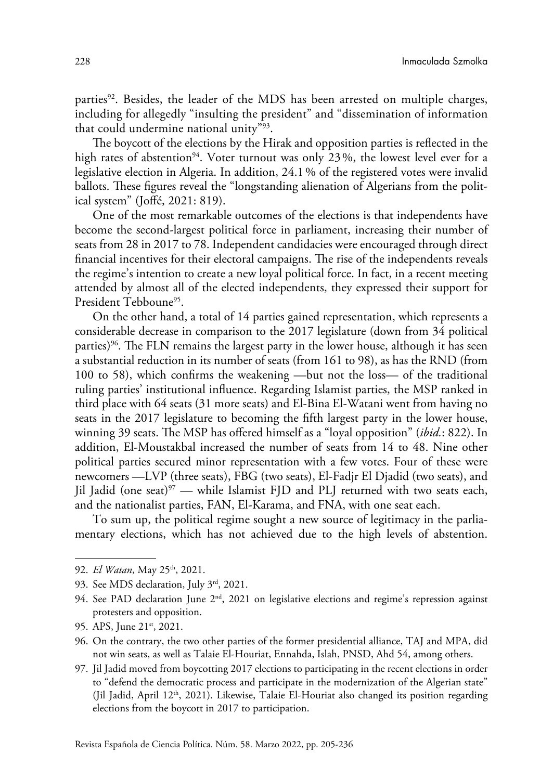parties92. Besides, the leader of the MDS has been arrested on multiple charges, including for allegedly "insulting the president" and "dissemination of information that could undermine national unity"93.

The boycott of the elections by the Hirak and opposition parties is reflected in the high rates of abstention<sup>94</sup>. Voter turnout was only 23%, the lowest level ever for a legislative election in Algeria. In addition, 24.1% of the registered votes were invalid ballots. These figures reveal the "longstanding alienation of Algerians from the political system" (Joffé, 2021: 819).

One of the most remarkable outcomes of the elections is that independents have become the second-largest political force in parliament, increasing their number of seats from 28 in 2017 to 78. Independent candidacies were encouraged through direct financial incentives for their electoral campaigns. The rise of the independents reveals the regime's intention to create a new loyal political force. In fact, in a recent meeting attended by almost all of the elected independents, they expressed their support for President Tebboune<sup>95</sup>.

On the other hand, a total of 14 parties gained representation, which represents a considerable decrease in comparison to the 2017 legislature (down from 34 political parties)<sup>96</sup>. The FLN remains the largest party in the lower house, although it has seen a substantial reduction in its number of seats (from 161 to 98), as has the RND (from 100 to 58), which confirms the weakening —but not the loss— of the traditional ruling parties' institutional influence. Regarding Islamist parties, the MSP ranked in third place with 64 seats (31 more seats) and El-Bina El-Watani went from having no seats in the 2017 legislature to becoming the fifth largest party in the lower house, winning 39 seats. The MSP has offered himself as a "loyal opposition" (*ibid.*: 822). In addition, El-Moustakbal increased the number of seats from 14 to 48. Nine other political parties secured minor representation with a few votes. Four of these were newcomers —LVP (three seats), FBG (two seats), El-Fadjr El Djadid (two seats), and Jil Jadid (one seat)<sup>97</sup> — while Islamist FJD and PLJ returned with two seats each, and the nationalist parties, FAN, El-Karama, and FNA, with one seat each.

To sum up, the political regime sought a new source of legitimacy in the parliamentary elections, which has not achieved due to the high levels of abstention.

<sup>92.</sup> *El Watan*[, May 25th, 2021.](https://www.elwatan.com/edition/actualite/menace-de-dissolution-de-lucp-et-du-pst-des-acteurs-de-lopposition-denoncent-la-judiciarisation-de-lexercice-politique-25-05-2021)

<sup>93.</sup> See [MDS declaration, July 3rd, 2021.](https://www.facebook.com/MouvementDemocratiqueSocial/posts/4145919695493780)

<sup>94.</sup> See PAD declaration June  $2<sup>nd</sup>$ , 2021 on legislative elections and regime's repression against [protesters and opposition.](https://www.facebook.com/permalink.php?story_fbid=272978401275946&id=103165408257247)

<sup>95.</sup> APS, June 21<sup>st</sup>, 2021.

<sup>96.</sup> On the contrary, the two other parties of the former presidential alliance, TAJ and MPA, did not win seats, as well as Talaie El-Houriat, Ennahda, Islah, PNSD, Ahd 54, among others.

<sup>97.</sup> Jil Jadid moved from boycotting 2017 elections to participating in the recent elections in order to "defend the democratic process and participate in the modernization of the Algerian state" (Jil Jadid, April 12<sup>th</sup>, 2021). Likewise, Talaie El-Houriat also changed its position regarding elections from the boycott in 2017 to participation.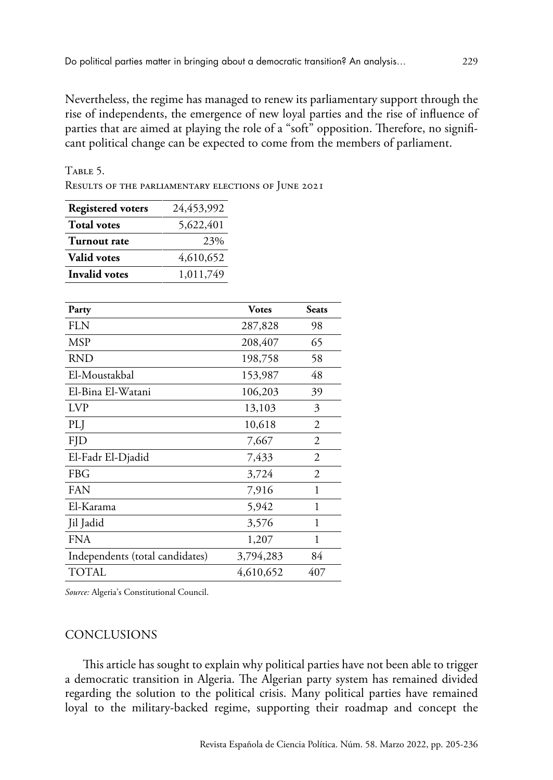Nevertheless, the regime has managed to renew its parliamentary support through the rise of independents, the emergence of new loyal parties and the rise of influence of parties that are aimed at playing the role of a "soft" opposition. Therefore, no significant political change can be expected to come from the members of parliament.

Table 5.

Results of the parliamentary elections of June 2021

| <b>Registered voters</b> | 24,453,992 |
|--------------------------|------------|
| <b>Total votes</b>       | 5,622,401  |
| Turnout rate             | 23%        |
| <b>Valid votes</b>       | 4,610,652  |
| <b>Invalid votes</b>     | 1,011,749  |

| Party                           | <b>Votes</b> | <b>Seats</b> |
|---------------------------------|--------------|--------------|
| <b>FLN</b>                      | 287,828      | 98           |
| MSP                             | 208,407      | 65           |
| <b>RND</b>                      | 198,758      | 58           |
| El-Moustakbal                   | 153,987      | 48           |
| El-Bina El-Watani               | 106,203      | 39           |
| <b>LVP</b>                      | 13,103       | 3            |
| PLI                             | 10,618       | 2            |
| <b>FJD</b>                      | 7,667        | 2            |
| El-Fadr El-Djadid               | 7,433        | 2            |
| FBG                             | 3,724        | 2            |
| FAN                             | 7,916        | 1            |
| El-Karama                       | 5,942        | 1            |
| Jil Jadid                       | 3,576        | 1            |
| <b>FNA</b>                      | 1,207        | 1            |
| Independents (total candidates) | 3,794,283    | 84           |
| <b>TOTAL</b>                    | 4,610,652    | 407          |

*Source:* [Algeria's Constitutional Council](http://www.conseil-constitutionnel.dz/pdf/Proclamation FR.pdf).

# CONCLUSIONS

This article has sought to explain why political parties have not been able to trigger a democratic transition in Algeria. The Algerian party system has remained divided regarding the solution to the political crisis. Many political parties have remained loyal to the military-backed regime, supporting their roadmap and concept the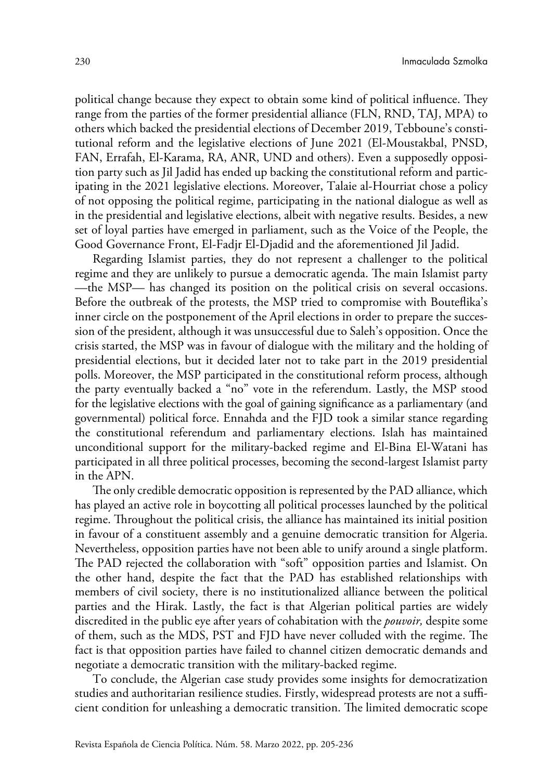political change because they expect to obtain some kind of political influence. They range from the parties of the former presidential alliance (FLN, RND, TAJ, MPA) to others which backed the presidential elections of December 2019, Tebboune's constitutional reform and the legislative elections of June 2021 (El-Moustakbal, PNSD, FAN, Errafah, El-Karama, RA, ANR, UND and others). Even a supposedly opposition party such as Jil Jadid has ended up backing the constitutional reform and participating in the 2021 legislative elections. Moreover, Talaie al-Hourriat chose a policy of not opposing the political regime, participating in the national dialogue as well as in the presidential and legislative elections, albeit with negative results. Besides, a new set of loyal parties have emerged in parliament, such as the Voice of the People, the Good Governance Front, El-Fadjr El-Djadid and the aforementioned Jil Jadid.

Regarding Islamist parties, they do not represent a challenger to the political regime and they are unlikely to pursue a democratic agenda. The main Islamist party —the MSP— has changed its position on the political crisis on several occasions. Before the outbreak of the protests, the MSP tried to compromise with Bouteflika's inner circle on the postponement of the April elections in order to prepare the succession of the president, although it was unsuccessful due to Saleh's opposition. Once the crisis started, the MSP was in favour of dialogue with the military and the holding of presidential elections, but it decided later not to take part in the 2019 presidential polls. Moreover, the MSP participated in the constitutional reform process, although the party eventually backed a "no" vote in the referendum. Lastly, the MSP stood for the legislative elections with the goal of gaining significance as a parliamentary (and governmental) political force. Ennahda and the FJD took a similar stance regarding the constitutional referendum and parliamentary elections. Islah has maintained unconditional support for the military-backed regime and El-Bina El-Watani has participated in all three political processes, becoming the second-largest Islamist party in the APN.

The only credible democratic opposition is represented by the PAD alliance, which has played an active role in boycotting all political processes launched by the political regime. Throughout the political crisis, the alliance has maintained its initial position in favour of a constituent assembly and a genuine democratic transition for Algeria. Nevertheless, opposition parties have not been able to unify around a single platform. The PAD rejected the collaboration with "soft" opposition parties and Islamist. On the other hand, despite the fact that the PAD has established relationships with members of civil society, there is no institutionalized alliance between the political parties and the Hirak. Lastly, the fact is that Algerian political parties are widely discredited in the public eye after years of cohabitation with the *pouvoir,* despite some of them, such as the MDS, PST and FJD have never colluded with the regime. The fact is that opposition parties have failed to channel citizen democratic demands and negotiate a democratic transition with the military-backed regime.

To conclude, the Algerian case study provides some insights for democratization studies and authoritarian resilience studies. Firstly, widespread protests are not a sufficient condition for unleashing a democratic transition. The limited democratic scope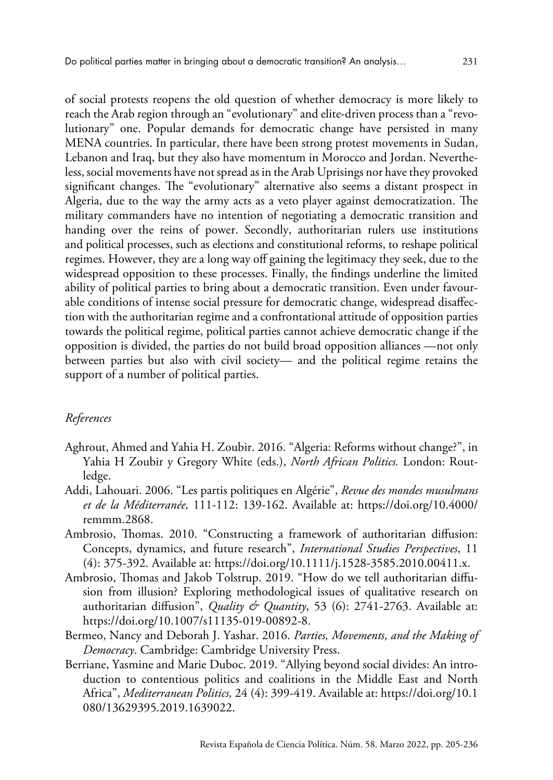of social protests reopens the old question of whether democracy is more likely to reach the Arab region through an "evolutionary" and elite-driven process than a "revolutionary" one. Popular demands for democratic change have persisted in many MENA countries. In particular, there have been strong protest movements in Sudan, Lebanon and Iraq, but they also have momentum in Morocco and Jordan. Nevertheless, social movements have not spread as in the Arab Uprisings nor have they provoked significant changes. The "evolutionary" alternative also seems a distant prospect in Algeria, due to the way the army acts as a veto player against democratization. The military commanders have no intention of negotiating a democratic transition and handing over the reins of power. Secondly, authoritarian rulers use institutions and political processes, such as elections and constitutional reforms, to reshape political regimes. However, they are a long way off gaining the legitimacy they seek, due to the widespread opposition to these processes. Finally, the findings underline the limited ability of political parties to bring about a democratic transition. Even under favourable conditions of intense social pressure for democratic change, widespread disaffection with the authoritarian regime and a confrontational attitude of opposition parties towards the political regime, political parties cannot achieve democratic change if the opposition is divided, the parties do not build broad opposition alliances —not only between parties but also with civil society— and the political regime retains the support of a number of political parties.

## *References*

- Aghrout, Ahmed and Yahia H. Zoubir. 2016. "Algeria: Reforms without change?", in Yahia H Zoubir y Gregory White (eds.), *North African Politics.* London: Routledge.
- Addi, Lahouari. 2006. "Les partis politiques en Algérie", *Revue des mondes musulmans et de la Méditerranée,* 111-112: 139-162. Available at: [https://doi.org/10.4000/](https://doi.org/10.4000/remmm.2868) [remmm.2868](https://doi.org/10.4000/remmm.2868).
- Ambrosio, Thomas. 2010. "Constructing a framework of authoritarian diffusion: Concepts, dynamics, and future research", *International Studies Perspectives*, 11 (4): 375-392. Available at:<https://doi.org/10.1111/j.1528-3585.2010.00411.x>.
- Ambrosio, Thomas and Jakob Tolstrup. 2019. "How do we tell authoritarian diffusion from illusion? Exploring methodological issues of qualitative research on authoritarian diffusion", *Quality & Quantity*, 53 (6): 2741-2763. Available at: <https://doi.org/10.1007/s11135-019-00892-8>.
- Bermeo, Nancy and Deborah J. Yashar. 2016. *Parties, Movements, and the Making of Democracy*. Cambridge: Cambridge University Press.
- Berriane, Yasmine and Marie Duboc. 2019. "Allying beyond social divides: An introduction to contentious politics and coalitions in the Middle East and North Africa", *Mediterranean Politics,* 24 (4): 399-419. Available at: https://doi.org[/10.1](https://doi.org/10.1080/13629395.2019.1639022) [080/13629395.2019.1639022](https://doi.org/10.1080/13629395.2019.1639022).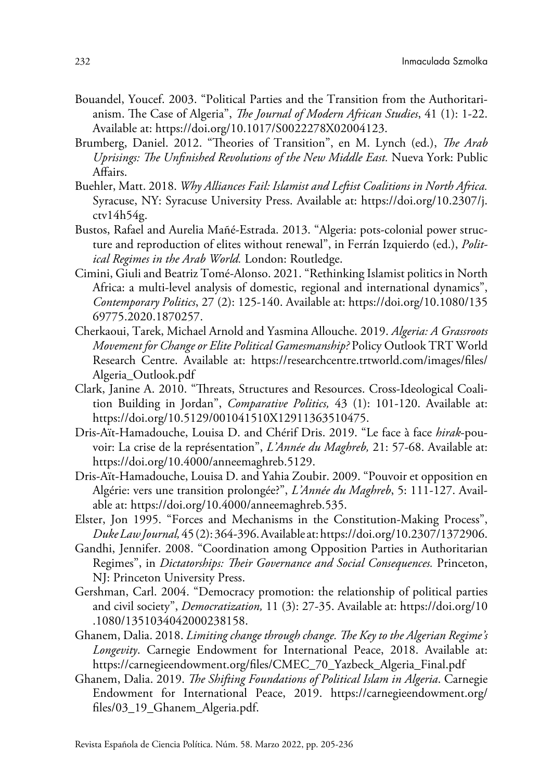- Bouandel, Youcef. 2003. "Political Parties and the Transition from the Authoritarianism. The Case of Algeria", *The Journal of Modern African Studies*, 41 (1): 1-22. Available at:<https://doi.org/10.1017/S0022278X02004123>.
- Brumberg, Daniel. 2012. "Theories of Transition", en M. Lynch (ed.), *The Arab Uprisings: The Unfinished Revolutions of the New Middle East.* Nueva York: Public Affairs.
- Buehler, Matt. 2018. *Why Alliances Fail: Islamist and Leftist Coalitions in North Africa.* Syracuse, NY: Syracuse University Press. Available at: [https://doi.org/10.2307/j.](https://doi.org/10.2307/j.ctv14h54g) [ctv14h54g.](https://doi.org/10.2307/j.ctv14h54g)
- Bustos, Rafael and Aurelia Mañé-Estrada. 2013. "Algeria: pots-colonial power structure and reproduction of elites without renewal", in Ferrán Izquierdo (ed.), *Political Regimes in the Arab World.* London: Routledge.
- Cimini, Giuli and Beatriz Tomé-Alonso. 2021. "Rethinking Islamist politics in North Africa: a multi-level analysis of domestic, regional and international dynamics", *Contemporary Politics*, 27 (2): 125-140. Available at: [https://doi.org/10.1080/135](https://doi.org/10.1080/13569775.2020.1870257) [69775.2020.1870257](https://doi.org/10.1080/13569775.2020.1870257).
- Cherkaoui, Tarek, Michael Arnold and Yasmina Allouche. 2019. *Algeria: A Grassroots Movement for Change or Elite Political Gamesmanship?* Policy Outlook TRT World Research Centre. Available at: [https://researchcentre.trtworld.com/images/files/](https://researchcentre.trtworld.com/images/files/Algeria_Outlook.pdf) [Algeria\\_Outlook.pdf](https://researchcentre.trtworld.com/images/files/Algeria_Outlook.pdf)
- Clark, Janine A. 2010. "Threats, Structures and Resources. Cross-Ideological Coalition Building in Jordan", *Comparative Politics,* 43 (1): 101-120. Available at: <https://doi.org/10.5129/001041510X12911363510475>.
- Dris-Aït-Hamadouche, Louisa D. and Chérif Dris. 2019. "Le face à face *hirak*-pouvoir: La crise de la représentation", *L'Année du Maghreb,* 21: 57-68. Available at: <https://doi.org/10.4000/anneemaghreb.5129>.
- Dris-Aït-Hamadouche, Louisa D. and Yahia Zoubir. 2009. "Pouvoir et opposition en Algérie: vers une transition prolongée?", *L'Année du Maghreb*, 5: 111-127. Available at: [https://doi.org/10.4000/anneemaghreb.535.](https://doi.org/10.4000/anneemaghreb.535)
- Elster, Jon 1995. "Forces and Mechanisms in the Constitution-Making Process", *Duke Law Journal,* 45 (2): 364-396. Available at:<https://doi.org/10.2307/1372906>.
- Gandhi, Jennifer. 2008. "Coordination among Opposition Parties in Authoritarian Regimes", in *Dictatorships: Their Governance and Social Consequences.* Princeton, NJ: Princeton University Press.
- Gershman, Carl. 2004. "Democracy promotion: the relationship of political parties and civil society", *Democratization,* 11 (3): 27-35. Available at: [https://doi.org/10](https://doi.org/10.1080/1351034042000238158) [.1080/1351034042000238158.](https://doi.org/10.1080/1351034042000238158)
- Ghanem, Dalia. 2018. *Limiting change through change. The Key to the Algerian Regime's Longevity*. Carnegie Endowment for International Peace, 2018. Available at: [https://carnegieendowment.org/files/CMEC\\_70\\_Yazbeck\\_Algeria\\_Final.pdf](https://carnegieendowment.org/files/CMEC_70_Yazbeck_Algeria_Final.pdf)
- Ghanem, Dalia. 2019. *The Shifting Foundations of Political Islam in Algeria*. Carnegie Endowment for International Peace, 2019. [https://carnegieendowment.org/](https://carnegieendowment.org/files/03_19_Ghanem_Algeria.pdf) [files/03\\_19\\_Ghanem\\_Algeria.pdf](https://carnegieendowment.org/files/03_19_Ghanem_Algeria.pdf).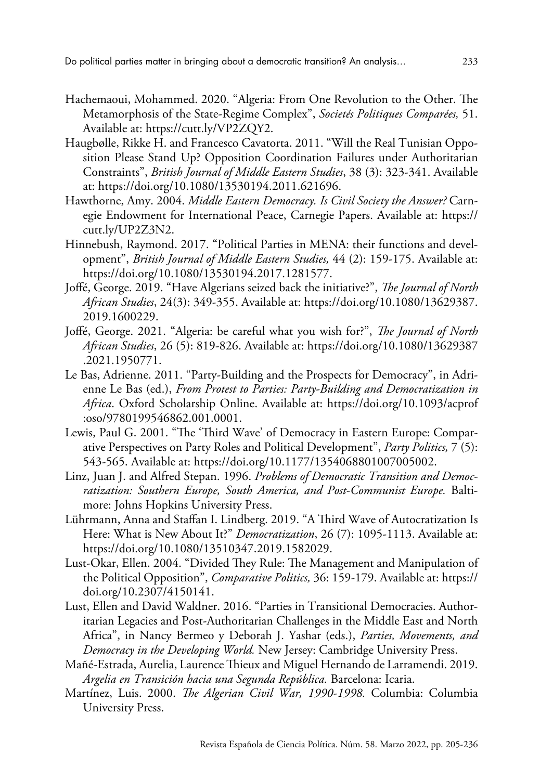- Hachemaoui, Mohammed. 2020. "Algeria: From One Revolution to the Other. The Metamorphosis of the State-Regime Complex", *Societés Politiques Comparées,* 51. Available at: [https://cutt.ly/VP2ZQY2.](https://cutt.ly/VP2ZQY2)
- Haugbølle, Rikke H. and Francesco Cavatorta. 2011. "Will the Real Tunisian Opposition Please Stand Up? Opposition Coordination Failures under Authoritarian Constraints", *British Journal of Middle Eastern Studies*, 38 (3): 323-341. Available at: [https://doi.org/10.1080/13530194.2011.621696.](https://doi.org/10.1080/13530194.2011.621696)
- Hawthorne, Amy. 2004. *Middle Eastern Democracy. Is Civil Society the Answer?* Carnegie Endowment for International Peace, Carnegie Papers. Available at: [https://](https://cutt.ly/UP2Z3N2) [cutt.ly/UP2Z3N2](https://cutt.ly/UP2Z3N2).
- Hinnebush, Raymond. 2017. "Political Parties in MENA: their functions and development", *British Journal of Middle Eastern Studies,* 44 (2): 159-175. Available at: <https://doi.org/10.1080/13530194.2017.1281577>.
- Joffé, George. 2019. "Have Algerians seized back the initiative?", *The Journal of North African Studies*, 24(3): 349-355. Available at: https://doi.org/[10.1080/13629387.](https://doi.org/10.1080/13629387.2019.1600229) [2019.1600229.](https://doi.org/10.1080/13629387.2019.1600229)
- Joffé, George. 2021. "Algeria: be careful what you wish for?", *The Journal of North African Studies*, 26 (5): 819-826. Available at: https://doi.org[/10.1080/13629387](https://doi.org/10.1080/13629387.2021.1950771) [.2021.1950771](https://doi.org/10.1080/13629387.2021.1950771).
- Le Bas, Adrienne. 2011. "Party-Building and the Prospects for Democracy", in Adrienne Le Bas (ed.), *From Protest to Parties: Party-Building and Democratization in Africa*. Oxford Scholarship Online. Available at: <https://doi.org/10.1093/acprof> :oso/9780199546862.001.0001.
- Lewis, Paul G. 2001. "The 'Third Wave' of Democracy in Eastern Europe: Comparative Perspectives on Party Roles and Political Development", *Party Politics,* 7 (5): 543-565. [Available at: https://doi.org/10.1177/1354068801007005002](https://doi.org/10.1177%2F1354068801007005002).
- Linz, Juan J. and Alfred Stepan. 1996. *Problems of Democratic Transition and Democratization: Southern Europe, South America, and Post-Communist Europe.* Baltimore: Johns Hopkins University Press.
- Lührmann, Anna and Staffan I. Lindberg. 2019. "A Third Wave of Autocratization Is Here: What is New About It?" *Democratization*, 26 (7): 1095-1113. Available at: <https://doi.org/10.1080/13510347.2019.1582029>.
- Lust-Okar, Ellen. 2004. "Divided They Rule: The Management and Manipulation of the Political Opposition", *Comparative Politics,* 36: 159-179. Available at: [https://](https://doi.org/10.2307/4150141) [doi.org/10.2307/4150141](https://doi.org/10.2307/4150141).
- Lust, Ellen and David Waldner. 2016. "Parties in Transitional Democracies. Authoritarian Legacies and Post-Authoritarian Challenges in the Middle East and North Africa", in Nancy Bermeo y Deborah J. Yashar (eds.), *Parties, Movements, and Democracy in the Developing World.* New Jersey: Cambridge University Press.
- Mañé-Estrada, Aurelia, Laurence Thieux and Miguel Hernando de Larramendi. 2019. *Argelia en Transición hacia una Segunda República.* Barcelona: Icaria.
- Martínez, Luis. 2000. *The Algerian Civil War, 1990-1998.* Columbia: Columbia University Press.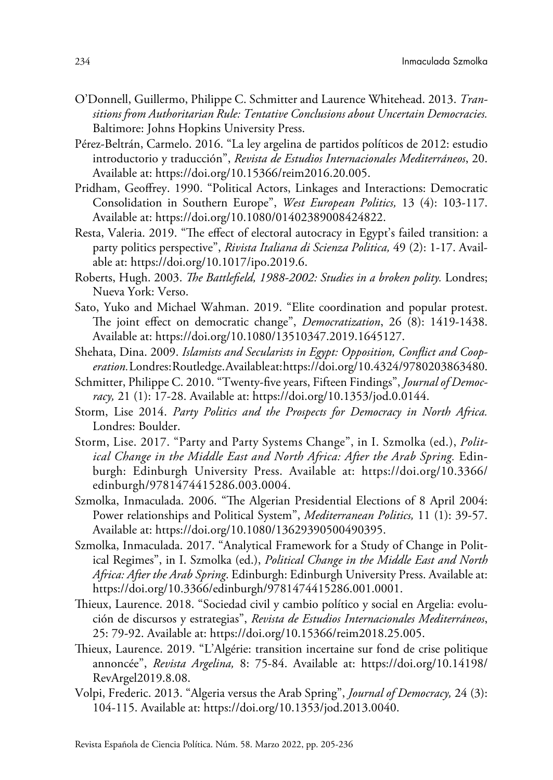- O'Donnell, Guillermo, Philippe C. Schmitter and Laurence Whitehead. 2013. *Transitions from Authoritarian Rule: Tentative Conclusions about Uncertain Democracies.* Baltimore: Johns Hopkins University Press.
- Pérez-Beltrán, Carmelo. 2016. "La ley argelina de partidos políticos de 2012: estudio introductorio y traducción", *Revista de Estudios Internacionales Mediterráneos*, 20. Available at:<https://doi.org/10.15366/reim2016.20.005>.
- Pridham, Geoffrey. 1990. "Political Actors, Linkages and Interactions: Democratic Consolidation in Southern Europe", *West European Politics,*  13 (4): 103-117. Available at: https://doi.org/[10.1080/01402389008424822.](https://doi.org/10.1080/01402389008424822)
- Resta, Valeria. 2019. "The effect of electoral autocracy in Egypt's failed transition: a party politics perspective", *Rivista Italiana di Scienza Politica,* 49 (2): 1-17. Available at: <https://doi.org/10.1017/ipo.2019.6>.
- Roberts, Hugh. 2003. *The Battlefield, 1988-2002: Studies in a broken polity.* Londres; Nueva York: Verso.
- Sato, Yuko and Michael Wahman. 2019. "Elite coordination and popular protest. The joint effect on democratic change", *Democratization*, 26 (8): 1419-1438. Available at: https://doi.org/[10.1080/13510347.2019.1645127](https://doi.org/10.1080/13510347.2019.1645127).
- Shehata, Dina. 2009. *Islamists and Secularists in Egypt: Opposition, Conflict and Cooperation.* Londres: Routledge. Available at:<https://doi.org/10.4324/9780203863480>.
- Schmitter, Philippe C. 2010. "Twenty-five years, Fifteen Findings", *Journal of Democracy,* 21 (1): 17-28. Available at: [https://doi.org/10.1353/jod.0.0144.](https://doi.org/10.1353/jod.0.0144)
- Storm, Lise 2014. *Party Politics and the Prospects for Democracy in North Africa.*  Londres: Boulder.
- Storm, Lise. 2017. "Party and Party Systems Change", in I. Szmolka (ed.), *Political Change in the Middle East and North Africa: After the Arab Spring.* Edinburgh: Edinburgh University Press. Available at: [https://doi.org/10.3366/](https://doi.org/10.3366/edinburgh/9781474415286.003.0004) [edinburgh/9781474415286.003.0004.](https://doi.org/10.3366/edinburgh/9781474415286.003.0004)
- Szmolka, Inmaculada. 2006. "The Algerian Presidential Elections of 8 April 2004: Power relationships and Political System", *Mediterranean Politics,* 11 (1): 39-57. Available at: [https://doi.org/10.1080/13629390500490395.](https://doi.org/10.1080/13629390500490395)
- Szmolka, Inmaculada. 2017. "Analytical Framework for a Study of Change in Political Regimes", in I. Szmolka (ed.), *Political Change in the Middle East and North Africa: After the Arab Spring*. Edinburgh: Edinburgh University Press. Available at: [https://doi.org/10.3366/edinburgh/9781474415286.001.0001.](https://doi.org/10.3366/edinburgh/9781474415286.001.0001)
- Thieux, Laurence. 2018. "Sociedad civil y cambio político y social en Argelia: evolución de discursos y estrategias", *Revista de Estudios Internacionales Mediterráneos*, 25: 79-92. Available at: [https://doi.org/10.15366/reim2018.25.005.](https://doi.org/10.15366/reim2018.25.005)
- Thieux, Laurence. 2019. "L'Algérie: transition incertaine sur fond de crise politique annoncée", *Revista Argelina,* 8: 75-84. Available at: [https://doi.org/10.14198/](https://doi.org/10.14198/RevArgel2019.8.08) [RevArgel2019.8.08](https://doi.org/10.14198/RevArgel2019.8.08).
- Volpi, Frederic. 2013. "Algeria versus the Arab Spring", *Journal of Democracy,* 24 (3): 104-115. Available at: [https://doi.org/10.1353/jod.2013.0040.](https://doi.org/10.1353/jod.2013.0040)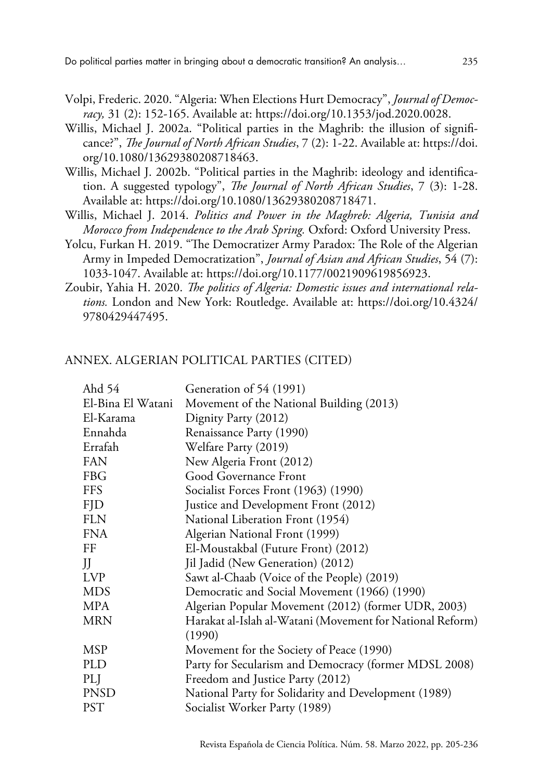- Volpi, Frederic. 2020. "Algeria: When Elections Hurt Democracy", *Journal of Democracy,* 31 (2): 152-165. Available at: [https://doi.org/10.1353/jod.2020.0028.](https://doi.org/10.1353/jod.2020.0028)
- Willis, Michael J. 2002a. "Political parties in the Maghrib: the illusion of significance?", *The Journal of North African Studies*, 7 (2): 1-22. Available at: [https://doi.](https://doi.org/10.1080/13629380208718463) [org/10.1080/13629380208718463.](https://doi.org/10.1080/13629380208718463)
- Willis, Michael J. 2002b. "Political parties in the Maghrib: ideology and identification. A suggested typology", *The Journal of North African Studies*, 7 (3): 1-28. Available at: <https://doi.org/10.1080/13629380208718471>.
- Willis, Michael J. 2014. *Politics and Power in the Maghreb: Algeria, Tunisia and Morocco from Independence to the Arab Spring.* Oxford: Oxford University Press.
- Yolcu, Furkan H. 2019. "The Democratizer Army Paradox: The Role of the Algerian Army in Impeded Democratization", *Journal of Asian and African Studies*, 54 (7): 1033-1047. Available at: https://doi.org[/10.1177/0021909619856923.](https://doi.org/10.1177/0021909619856923)
- Zoubir, Yahia H. 2020. *The politics of Algeria: Domestic issues and international relations.* London and New York: Routledge. Available at: [https://doi.org/10.4324/](https://doi.org/10.4324/9780429447495) [9780429447495.](https://doi.org/10.4324/9780429447495)

## ANNEX. ALGERIAN POLITICAL PARTIES (CITED)

| Ahd 54            | Generation of 54 (1991)                                   |
|-------------------|-----------------------------------------------------------|
| El-Bina El Watani | Movement of the National Building (2013)                  |
| El-Karama         | Dignity Party (2012)                                      |
| Ennahda           | Renaissance Party (1990)                                  |
| Errafah           | Welfare Party (2019)                                      |
| <b>FAN</b>        | New Algeria Front (2012)                                  |
| <b>FBG</b>        | Good Governance Front                                     |
| FFS               | Socialist Forces Front (1963) (1990)                      |
| <b>FJD</b>        | Justice and Development Front (2012)                      |
| <b>FLN</b>        | National Liberation Front (1954)                          |
| <b>FNA</b>        | Algerian National Front (1999)                            |
| FF                | El-Moustakbal (Future Front) (2012)                       |
| JJ                | Jil Jadid (New Generation) (2012)                         |
| LVP               | Sawt al-Chaab (Voice of the People) (2019)                |
| <b>MDS</b>        | Democratic and Social Movement (1966) (1990)              |
| MPA               | Algerian Popular Movement (2012) (former UDR, 2003)       |
| <b>MRN</b>        | Harakat al-Islah al-Watani (Movement for National Reform) |
|                   | (1990)                                                    |
| MSP               | Movement for the Society of Peace (1990)                  |
| PLD               | Party for Secularism and Democracy (former MDSL 2008)     |
| PLJ               | Freedom and Justice Party (2012)                          |
| <b>PNSD</b>       | National Party for Solidarity and Development (1989)      |
| <b>PST</b>        | Socialist Worker Party (1989)                             |
|                   |                                                           |